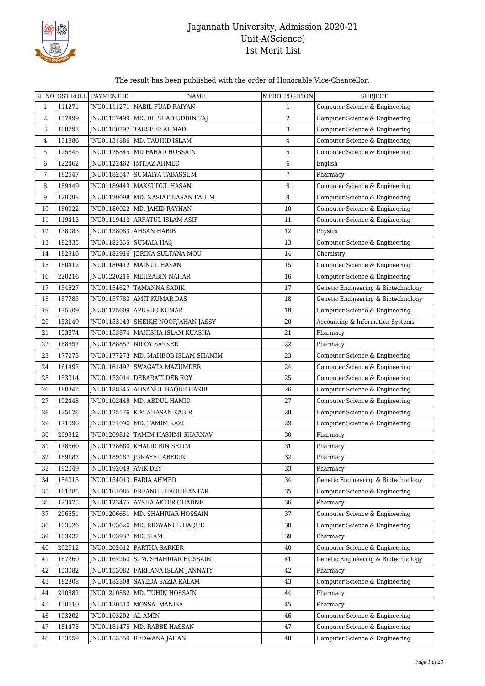

#### The result has been published with the order of Honorable Vice-Chancellor.

|                |        | SL NO GST ROLL PAYMENT ID | <b>NAME</b>                           | <b>MERIT POSITION</b> | <b>SUBJECT</b>                      |
|----------------|--------|---------------------------|---------------------------------------|-----------------------|-------------------------------------|
| $\mathbf{1}$   | 111271 | JNU01111271               | NABIL FUAD RAIYAN                     | 1                     | Computer Science & Engineering      |
| 2              | 157499 |                           | INU01157499   MD. DILSHAD UDDIN TAJ   | $\overline{2}$        | Computer Science & Engineering      |
| 3              | 188797 | JNU01188797               | TAUSEEF AHMAD                         | 3                     | Computer Science & Engineering      |
| $\overline{4}$ | 131886 | INU01131886               | MD. TAUHID ISLAM                      | $\overline{4}$        | Computer Science & Engineering      |
| 5              | 125845 | JNU01125845               | MD FAHAD HOSSAIN                      | 5                     | Computer Science & Engineering      |
| 6              | 122462 | JNU01122462               | <b>IMTIAZ AHMED</b>                   | $\,6\,$               | English                             |
| 7              | 182547 | JNU01182547               | SUMAIYA TABASSUM                      | $\sqrt{7}$            | Pharmacy                            |
| 8              | 189449 |                           | JNU01189449   MAKSUDUL HASAN          | 8                     | Computer Science & Engineering      |
| 9              | 129098 |                           | JNU01129098   MD. NASIAT HASAN FAHIM  | 9                     | Computer Science & Engineering      |
| 10             | 180022 | JNU01180022               | MD. JAHID RAYHAN                      | 10                    | Computer Science & Engineering      |
| 11             | 119413 |                           | JNU01119413 ARFATUL ISLAM ASIF        | 11                    | Computer Science & Engineering      |
| 12             | 138083 |                           | JNU01138083 AHSAN HABIB               | 12                    | Physics                             |
| 13             | 182335 | JNU01182335               | <b>SUMAIA HAQ</b>                     | 13                    | Computer Science & Engineering      |
| 14             | 182916 | JNU01182916               | JERINA SULTANA MOU                    | 14                    | Chemistry                           |
| 15             | 180412 | JNU01180412               | <b>MAINUL HASAN</b>                   | 15                    | Computer Science & Engineering      |
| 16             | 220216 |                           | JNU01220216   MEHZABIN NAHAR          | 16                    | Computer Science & Engineering      |
| 17             | 154627 | JNU01154627               | <b>TAMANNA SADIK</b>                  | 17                    | Genetic Engineering & Biotechnology |
| 18             | 157783 |                           | JNU01157783 AMIT KUMAR DAS            | 18                    | Genetic Engineering & Biotechnology |
| 19             | 175609 |                           | JNU01175609 APURBO KUMAR              | 19                    | Computer Science & Engineering      |
| 20             | 153149 | JNU01153149               | SHEIKH NOORJAHAN JASSY                | 20                    | Accounting & Information Systems    |
| 21             | 153874 | JNU01153874               | MAHISHA ISLAM KUASHA                  | 21                    | Pharmacy                            |
| 22             | 188857 | JNU01188857               | <b>NILOY SARKER</b>                   | 22                    | Pharmacy                            |
| 23             | 177273 | JNU01177273               | MD. MAHBOB ISLAM SHAMIM               | 23                    | Computer Science & Engineering      |
| 24             | 161497 | JNU01161497               | SWAGATA MAZUMDER                      | 24                    | Computer Science & Engineering      |
| 25             | 153014 |                           | JNU01153014 DEBARATI DEB ROY          | 25                    | Computer Science & Engineering      |
| 26             | 188345 | JNU01188345               | AHSANUL HAQUE HASIB                   | 26                    | Computer Science & Engineering      |
| 27             | 102448 |                           | JNU01102448   MD. ABDUL HAMID         | 27                    | Computer Science & Engineering      |
| 28             | 125176 | JNU01125176               | K M AHASAN KABIR                      | 28                    | Computer Science & Engineering      |
| 29             | 171096 | JNU01171096               | MD. TAMIM KAZI                        | 29                    | Computer Science & Engineering      |
| 30             | 209812 | JNU01209812               | TAMIM HASHMI SHARNAV                  | 30                    | Pharmacy                            |
| 31             | 178660 |                           | JNU01178660 KHALID BIN SELIM          | 31                    | Pharmacy                            |
| 32             | 189187 |                           | JNU01189187   JUNAYEL ABEDIN          | 32                    | Pharmacy                            |
| 33             | 192049 | JNU01192049               | <b>AVIK DEY</b>                       | 33                    | Pharmacy                            |
| 34             | 154013 |                           | JNU01154013   FARIA AHMED             | 34                    | Genetic Engineering & Biotechnology |
| 35             | 161085 |                           | JNU01161085   ERFANUL HAQUE ANTAR     | 35                    | Computer Science & Engineering      |
| 36             | 123475 |                           | <b>INU01123475 AYSHA AKTER CHADNE</b> | 36                    | Pharmacy                            |
| 37             | 206651 | JNU01206651               | MD. SHAHRIAR HOSSAIN                  | 37                    | Computer Science & Engineering      |
| 38             | 103626 | JNU01103626               | MD. RIDWANUL HAQUE                    | 38                    | Computer Science & Engineering      |
| 39             | 103937 | JNU01103937               | MD. SIAM                              | 39                    | Pharmacy                            |
| 40             | 202612 | JNU01202612               | PARTHA SARKER                         | 40                    | Computer Science & Engineering      |
| 41             | 167260 |                           | JNU01167260 S. M. SHAHRIAR HOSSAIN    | 41                    | Genetic Engineering & Biotechnology |
| 42             | 153082 |                           | JNU01153082   FARHANA ISLAM JANNATY   | 42                    | Pharmacy                            |
| 43             | 182808 |                           | JNU01182808 SAYEDA SAZIA KALAM        | 43                    | Computer Science & Engineering      |
| 44             | 210882 | JNU01210882               | MD. TUHIN HOSSAIN                     | 44                    | Pharmacy                            |
| 45             | 130510 | JNU01130510               | MOSSA. MANISA                         | 45                    | Pharmacy                            |
| 46             | 103202 | JNU01103202 AL-AMIN       |                                       | 46                    | Computer Science & Engineering      |
| 47             | 181475 |                           | JNU01181475   MD. RABBE HASSAN        | 47                    | Computer Science & Engineering      |
| 48             | 153559 | JNU01153559               | REDWANA JAHAN                         | 48                    | Computer Science & Engineering      |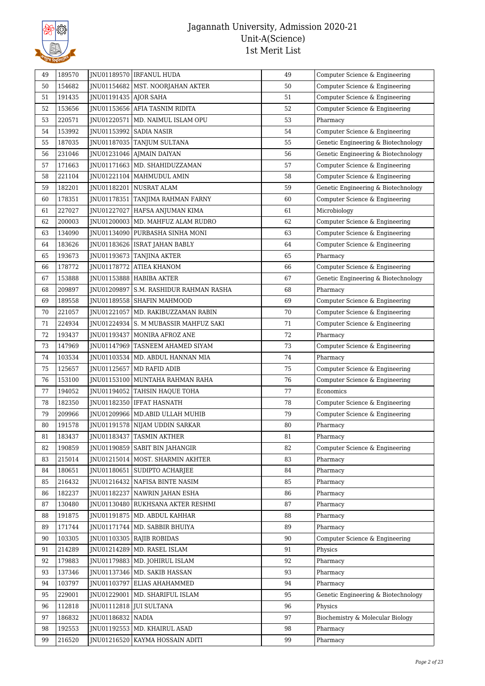

| 49       | 189570 |                         | JNU01189570   IRFANUL HUDA             | 49     | Computer Science & Engineering                 |
|----------|--------|-------------------------|----------------------------------------|--------|------------------------------------------------|
| 50       | 154682 |                         | JNU01154682   MST. NOORJAHAN AKTER     | 50     | Computer Science & Engineering                 |
| 51       | 191435 | JNU01191435   AJOR SAHA |                                        | 51     | Computer Science & Engineering                 |
| 52       | 153656 |                         | JNU01153656 AFIA TASNIM RIDITA         | 52     | Computer Science & Engineering                 |
| 53       | 220571 | JNU01220571             | MD. NAIMUL ISLAM OPU                   | 53     | Pharmacy                                       |
| 54       | 153992 |                         | JNU01153992   SADIA NASIR              | 54     | Computer Science & Engineering                 |
| 55       | 187035 |                         | JNU01187035 TANJUM SULTANA             | 55     | Genetic Engineering & Biotechnology            |
| 56       | 231046 |                         | JNU01231046 AJMAIN DAIYAN              | 56     | Genetic Engineering & Biotechnology            |
| 57       | 171663 |                         | JNU01171663   MD. SHAHIDUZZAMAN        | 57     | Computer Science & Engineering                 |
| 58       | 221104 | JNU01221104             | MAHMUDUL AMIN                          | 58     | Computer Science & Engineering                 |
| 59       | 182201 | JNU01182201             | NUSRAT ALAM                            | 59     | Genetic Engineering & Biotechnology            |
| 60       | 178351 |                         | JNU01178351 TANJIMA RAHMAN FARNY       | 60     | Computer Science & Engineering                 |
| 61       | 227027 | JNU01227027             | HAFSA ANJUMAN KIMA                     | 61     | Microbiology                                   |
| 62       | 200003 |                         | JNU01200003   MD. MAHFUZ ALAM RUDRO    | 62     | Computer Science & Engineering                 |
| 63       | 134090 |                         | JNU01134090 PURBASHA SINHA MONI        | 63     | Computer Science & Engineering                 |
| 64       | 183626 |                         | JNU01183626   ISRAT JAHAN BABLY        | 64     | Computer Science & Engineering                 |
| 65       | 193673 |                         | JNU01193673   TANJINA AKTER            | 65     | Pharmacy                                       |
| 66       | 178772 | JNU01178772             | <b>ATIEA KHANOM</b>                    | 66     | Computer Science & Engineering                 |
| 67       | 153888 |                         | JNU01153888 HABIBA AKTER               | 67     | Genetic Engineering & Biotechnology            |
| 68       | 209897 |                         | INU01209897 S.M. RASHIDUR RAHMAN RASHA | 68     | Pharmacy                                       |
| 69       | 189558 |                         | JNU01189558 SHAFIN MAHMOOD             | 69     | Computer Science & Engineering                 |
| 70       | 221057 | JNU01221057             | MD. RAKIBUZZAMAN RABIN                 | $70\,$ | Computer Science & Engineering                 |
| 71       | 224934 | JNU01224934             | S. M MUBASSIR MAHFUZ SAKI              | 71     | Computer Science & Engineering                 |
| 72       | 193437 | JNU01193437             | MONIRA AFROZ ANE                       | $72\,$ | Pharmacy                                       |
| 73       | 147969 |                         | JNU01147969 TASNEEM AHAMED SIYAM       | 73     | Computer Science & Engineering                 |
| 74       | 103534 |                         | JNU01103534   MD. ABDUL HANNAN MIA     | 74     | Pharmacy                                       |
| 75       | 125657 |                         | JNU01125657   MD RAFID ADIB            | 75     | Computer Science & Engineering                 |
| 76       | 153100 |                         | JNU01153100   MUNTAHA RAHMAN RAHA      | 76     | Computer Science & Engineering                 |
| 77       | 194052 | JNU01194052             | <b>TAHSIN HAQUE TOHA</b>               | 77     | Economics                                      |
| 78       | 182350 | JNU01182350             | <b>IFFAT HASNATH</b>                   | 78     | Computer Science & Engineering                 |
| 79       | 209966 |                         | INU01209966   MD.ABID ULLAH MUHIB      | 79     | Computer Science & Engineering                 |
| 80       | 191578 |                         | JNU01191578   NIJAM UDDIN SARKAR       | 80     | Pharmacy                                       |
| 81       | 183437 | JNU01183437             | <b>TASMIN AKTHER</b>                   | 81     | Pharmacy                                       |
| 82       | 190859 | INU01190859             | <b>SABIT BIN JAHANGIR</b>              | 82     | Computer Science & Engineering                 |
| 83       | 215014 |                         | JNU01215014   MOST. SHARMIN AKHTER     | 83     | Pharmacy                                       |
| 84       | 180651 |                         | JNU01180651   SUDIPTO ACHARJEE         | 84     | Pharmacy                                       |
| 85       | 216432 |                         | JNU01216432   NAFISA BINTE NASIM       | 85     | Pharmacy                                       |
| 86       | 182237 |                         | JNU01182237   NAWRIN JAHAN ESHA        | 86     | Pharmacy                                       |
| 87       | 130480 | JNU01130480             | RUKHSANA AKTER RESHMI                  | 87     | Pharmacy                                       |
| 88       | 191875 |                         | JNU01191875   MD. ABDUL KAHHAR         | 88     | Pharmacy                                       |
| 89       | 171744 |                         | JNU01171744   MD. SABBIR BHUIYA        | 89     | Pharmacy                                       |
| 90       | 103305 |                         | JNU01103305 RAJIB ROBIDAS              | 90     | Computer Science & Engineering                 |
| 91       | 214289 | JNU01214289             | MD. RASEL ISLAM                        | 91     | Physics                                        |
| 92       | 179883 |                         | JNU01179883   MD. JOHIRUL ISLAM        | 92     | Pharmacy                                       |
| 93       | 137346 |                         | JNU01137346   MD. SAKIB HASSAN         | 93     | Pharmacy                                       |
|          | 103797 | JNU01103797             | ELIAS AHAHAMMED                        | 94     | Pharmacy                                       |
| 94<br>95 | 229001 | JNU01229001             | MD. SHARIFUL ISLAM                     | 95     |                                                |
| 96       | 112818 |                         | JNU01112818 JUI SULTANA                | 96     | Genetic Engineering & Biotechnology<br>Physics |
| 97       | 186832 | JNU01186832 NADIA       |                                        | 97     | Biochemistry & Molecular Biology               |
|          |        |                         |                                        |        |                                                |
| 98       | 192553 |                         | JNU01192553   MD. KHAIRUL ASAD         | 98     | Pharmacy                                       |
| 99       | 216520 |                         | JNU01216520   KAYMA HOSSAIN ADITI      | 99     | Pharmacy                                       |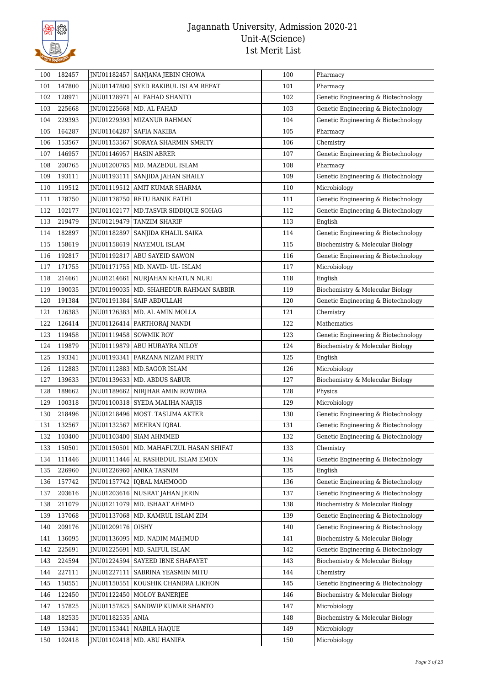

| 100 | 182457 |                   | JNU01182457 SANJANA JEBIN CHOWA          | 100 | Pharmacy                            |
|-----|--------|-------------------|------------------------------------------|-----|-------------------------------------|
| 101 | 147800 |                   | JNU01147800 SYED RAKIBUL ISLAM REFAT     | 101 | Pharmacy                            |
| 102 | 128971 |                   | JNU01128971 AL FAHAD SHANTO              | 102 | Genetic Engineering & Biotechnology |
| 103 | 225668 |                   | JNU01225668   MD. AL FAHAD               | 103 | Genetic Engineering & Biotechnology |
| 104 | 229393 | JNU01229393       | <b>MIZANUR RAHMAN</b>                    | 104 | Genetic Engineering & Biotechnology |
| 105 | 164287 |                   | JNU01164287   SAFIA NAKIBA               | 105 | Pharmacy                            |
| 106 | 153567 |                   | JNU01153567 SORAYA SHARMIN SMRITY        | 106 | Chemistry                           |
| 107 | 146957 |                   | JNU01146957   HASIN ABRER                | 107 | Genetic Engineering & Biotechnology |
| 108 | 200765 |                   | JNU01200765   MD. MAZEDUL ISLAM          | 108 | Pharmacy                            |
| 109 | 193111 | JNU01193111       | SANJIDA JAHAN SHAILY                     | 109 | Genetic Engineering & Biotechnology |
| 110 | 119512 |                   | JNU01119512 AMIT KUMAR SHARMA            | 110 | Microbiology                        |
| 111 | 178750 |                   | JNU01178750 RETU BANIK EATHI             | 111 | Genetic Engineering & Biotechnology |
| 112 | 102177 |                   | JNU01102177   MD.TASVIR SIDDIQUE SOHAG   | 112 | Genetic Engineering & Biotechnology |
| 113 | 219479 | JNU01219479       | <b>TANZIM SHARIF</b>                     | 113 | English                             |
| 114 | 182897 |                   | JNU01182897   SANJIDA KHALIL SAIKA       | 114 | Genetic Engineering & Biotechnology |
| 115 | 158619 |                   | JNU01158619   NAYEMUL ISLAM              | 115 | Biochemistry & Molecular Biology    |
| 116 | 192817 | JNU01192817       | ABU SAYEID SAWON                         | 116 | Genetic Engineering & Biotechnology |
| 117 | 171755 |                   | JNU01171755   MD. NAVID- UL- ISLAM       | 117 | Microbiology                        |
| 118 | 214661 |                   | JNU01214661 NURJAHAN KHATUN NURI         | 118 | English                             |
| 119 | 190035 |                   | JNU01190035   MD. SHAHEDUR RAHMAN SABBIR | 119 | Biochemistry & Molecular Biology    |
| 120 | 191384 |                   | INU01191384   SAIF ABDULLAH              | 120 | Genetic Engineering & Biotechnology |
| 121 | 126383 |                   | JNU01126383   MD. AL AMIN MOLLA          | 121 | Chemistry                           |
| 122 | 126414 |                   | JNU01126414   PARTHORAJ NANDI            | 122 | Mathematics                         |
| 123 | 119458 |                   | JNU01119458 SOWMIK ROY                   | 123 | Genetic Engineering & Biotechnology |
| 124 | 119879 |                   | JNU01119879 ABU HURAYRA NILOY            | 124 | Biochemistry & Molecular Biology    |
| 125 | 193341 |                   | JNU01193341   FARZANA NIZAM PRITY        | 125 | English                             |
| 126 | 112883 |                   | JNU01112883   MD.SAGOR ISLAM             | 126 | Microbiology                        |
| 127 | 139633 |                   | JNU01139633   MD. ABDUS SABUR            | 127 | Biochemistry & Molecular Biology    |
| 128 | 189662 |                   | JNU01189662   NIRJHAR AMIN ROWDRA        | 128 | Physics                             |
| 129 | 100318 |                   | JNU01100318 SYEDA MALIHA NARJIS          | 129 | Microbiology                        |
| 130 | 218496 |                   | JNU01218496   MOST. TASLIMA AKTER        | 130 | Genetic Engineering & Biotechnology |
| 131 | 132567 |                   | JNU01132567   MEHRAN IQBAL               | 131 | Genetic Engineering & Biotechnology |
| 132 | 103400 |                   | JNU01103400 SIAM AHMMED                  | 132 | Genetic Engineering & Biotechnology |
| 133 | 150501 | JNU01150501       | MD. MAHAFUZUL HASAN SHIFAT               | 133 | Chemistry                           |
| 134 | 111446 |                   | JNU01111446 AL RASHEDUL ISLAM EMON       | 134 | Genetic Engineering & Biotechnology |
| 135 | 226960 |                   | JNU01226960 ANIKA TASNIM                 | 135 | English                             |
| 136 | 157742 |                   | INU01157742   IOBAL MAHMOOD              | 136 | Genetic Engineering & Biotechnology |
| 137 | 203616 |                   | JNU01203616 NUSRAT JAHAN JERIN           | 137 | Genetic Engineering & Biotechnology |
| 138 | 211079 |                   | JNU01211079   MD. ISHAAT AHMED           | 138 | Biochemistry & Molecular Biology    |
| 139 | 137068 |                   | JNU01137068   MD. KAMRUL ISLAM ZIM       | 139 | Genetic Engineering & Biotechnology |
|     | 209176 | JNU01209176 OISHY |                                          | 140 |                                     |
| 140 |        |                   |                                          |     | Genetic Engineering & Biotechnology |
| 141 | 136095 | JNU01136095       | MD. NADIM MAHMUD                         | 141 | Biochemistry & Molecular Biology    |
| 142 | 225691 | JNU01225691       | MD. SAIFUL ISLAM                         | 142 | Genetic Engineering & Biotechnology |
| 143 | 224594 |                   | JNU01224594   SAYEED IBNE SHAFAYET       | 143 | Biochemistry & Molecular Biology    |
| 144 | 227111 | JNU01227111       | SABRINA YEASMIN MITU                     | 144 | Chemistry                           |
| 145 | 150551 | JNU01150551       | KOUSHIK CHANDRA LIKHON                   | 145 | Genetic Engineering & Biotechnology |
| 146 | 122450 |                   | JNU01122450   MOLOY BANERJEE             | 146 | Biochemistry & Molecular Biology    |
| 147 | 157825 |                   | JNU01157825 SANDWIP KUMAR SHANTO         | 147 | Microbiology                        |
| 148 | 182535 | JNU01182535 ANIA  |                                          | 148 | Biochemistry & Molecular Biology    |
| 149 | 153441 | JNU01153441       | NABILA HAQUE                             | 149 | Microbiology                        |
| 150 | 102418 | JNU01102418       | MD. ABU HANIFA                           | 150 | Microbiology                        |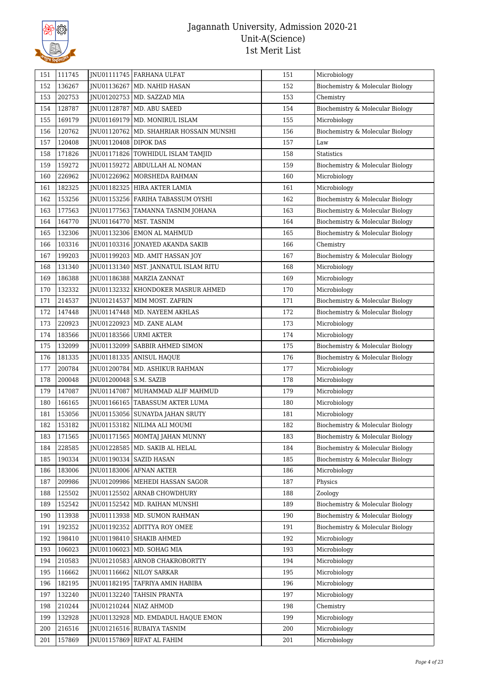

| 151        | 111745           |                          | JNU01111745   FARHANA ULFAT                             | 151 | Microbiology                                |
|------------|------------------|--------------------------|---------------------------------------------------------|-----|---------------------------------------------|
| 152        | 136267           |                          | JNU01136267   MD. NAHID HASAN                           | 152 | Biochemistry & Molecular Biology            |
| 153        | 202753           |                          | JNU01202753   MD. SAZZAD MIA                            | 153 | Chemistry                                   |
| 154        | 128787           | JNU01128787              | MD. ABU SAEED                                           | 154 | Biochemistry & Molecular Biology            |
| 155        | 169179           |                          | JNU01169179   MD. MONIRUL ISLAM                         | 155 | Microbiology                                |
| 156        | 120762           |                          | JNU01120762   MD. SHAHRIAR HOSSAIN MUNSHI               | 156 | Biochemistry & Molecular Biology            |
| 157        | 120408           | JNU01120408 DIPOK DAS    |                                                         | 157 | Law                                         |
| 158        | 171826           |                          | JNU01171826   TOWHIDUL ISLAM TAMJID                     | 158 | <b>Statistics</b>                           |
| 159        | 159272           |                          | JNU01159272   ABDULLAH AL NOMAN                         | 159 | Biochemistry & Molecular Biology            |
| 160        | 226962           |                          | INU01226962 MORSHEDA RAHMAN                             | 160 | Microbiology                                |
| 161        | 182325           |                          | JNU01182325 HIRA AKTER LAMIA                            | 161 | Microbiology                                |
| 162        | 153256           |                          | JNU01153256   FARIHA TABASSUM OYSHI                     | 162 | Biochemistry & Molecular Biology            |
| 163        | 177563           |                          | JNU01177563   TAMANNA TASNIM JOHANA                     | 163 | Biochemistry & Molecular Biology            |
| 164        | 164770           |                          | JNU01164770   MST. TASNIM                               | 164 | Biochemistry & Molecular Biology            |
| 165        | 132306           |                          | JNU01132306 EMON AL MAHMUD                              | 165 | Biochemistry & Molecular Biology            |
| 166        | 103316           |                          | JNU01103316 JONAYED AKANDA SAKIB                        | 166 | Chemistry                                   |
| 167        | 199203           |                          | JNU01199203   MD. AMIT HASSAN JOY                       | 167 | Biochemistry & Molecular Biology            |
| 168        | 131340           |                          | JNU01131340   MST. JANNATUL ISLAM RITU                  | 168 | Microbiology                                |
| 169        | 186388           |                          | JNU01186388   MARZIA ZANNAT                             | 169 | Microbiology                                |
| 170        | 132332           |                          | <b>INU01132332 KHONDOKER MASRUR AHMED</b>               | 170 | Microbiology                                |
| 171        | 214537           |                          | INU01214537 MIM MOST. ZAFRIN                            | 171 | Biochemistry & Molecular Biology            |
| 172        | 147448           |                          | JNU01147448   MD. NAYEEM AKHLAS                         | 172 | Biochemistry & Molecular Biology            |
| 173        | 220923           |                          | JNU01220923   MD. ZANE ALAM                             | 173 | Microbiology                                |
| 174        | 183566           | JNU01183566 URMI AKTER   |                                                         | 174 | Microbiology                                |
| 175        | 132099           |                          | JNU01132099   SABBIR AHMED SIMON                        | 175 | Biochemistry & Molecular Biology            |
| 176        | 181335           |                          | JNU01181335   ANISUL HAQUE                              | 176 | Biochemistry & Molecular Biology            |
| 177        | 200784           |                          | JNU01200784   MD. ASHIKUR RAHMAN                        | 177 | Microbiology                                |
| 178        | 200048           | JNU01200048   S.M. SAZIB |                                                         | 178 | Microbiology                                |
| 179        | 147087           | JNU01147087              | MUHAMMAD ALIF MAHMUD                                    | 179 | Microbiology                                |
| 180        | 166165           |                          | JNU01166165   TABASSUM AKTER LUMA                       | 180 | Microbiology                                |
| 181        | 153056           |                          | JNU01153056   SUNAYDA JAHAN SRUTY                       | 181 | Microbiology                                |
| 182        | 153182           |                          | JNU01153182   NILIMA ALI MOUMI                          | 182 | Biochemistry & Molecular Biology            |
| 183        | 171565           |                          | JNU01171565   MOMTAJ JAHAN MUNNY                        | 183 | Biochemistry & Molecular Biology            |
| 184        | 228585           |                          | JNU01228585   MD. SAKIB AL HELAL                        | 184 | Biochemistry & Molecular Biology            |
| 185        | 190334           |                          | JNU01190334   SAZID HASAN                               | 185 | Biochemistry & Molecular Biology            |
|            | 183006           |                          | JNU01183006 AFNAN AKTER                                 | 186 | Microbiology                                |
| 186        | 209986           |                          | JNU01209986   MEHEDI HASSAN SAGOR                       | 187 | Physics                                     |
| 187        |                  |                          | JNU01125502 ARNAB CHOWDHURY                             | 188 |                                             |
| 188<br>189 | 125502<br>152542 | JNU01152542              | MD. RAIHAN MUNSHI                                       | 189 | Zoology<br>Biochemistry & Molecular Biology |
|            | 113938           |                          | INU01113938   MD. SUMON RAHMAN                          | 190 | Biochemistry & Molecular Biology            |
| 190        | 192352           |                          | JNU01192352 ADITTYA ROY OMEE                            | 191 |                                             |
| 191<br>192 | 198410           |                          |                                                         | 192 | Biochemistry & Molecular Biology            |
| 193        | 106023           |                          | JNU01198410 SHAKIB AHMED<br>JNU01106023   MD. SOHAG MIA | 193 | Microbiology<br>Microbiology                |
|            |                  |                          |                                                         |     |                                             |
| 194        | 210583           |                          | JNU01210583 ARNOB CHAKROBORTTY                          | 194 | Microbiology                                |
| 195        | 116662           |                          | JNU01116662 NILOY SARKAR                                | 195 | Microbiology                                |
| 196        | 182195           |                          | JNU01182195 TAFRIYA AMIN HABIBA                         | 196 | Microbiology                                |
| 197        | 132240           |                          | JNU01132240 TAHSIN PRANTA                               | 197 | Microbiology                                |
| 198        | 210244           |                          | JNU01210244 NIAZ AHMOD                                  | 198 | Chemistry                                   |
| 199        | 132928           | JNU01132928              | MD. EMDADUL HAQUE EMON                                  | 199 | Microbiology                                |
| 200        | 216516           |                          | JNU01216516 RUBAIYA TASNIM                              | 200 | Microbiology                                |
| 201        | 157869           | JNU01157869              | RIFAT AL FAHIM                                          | 201 | Microbiology                                |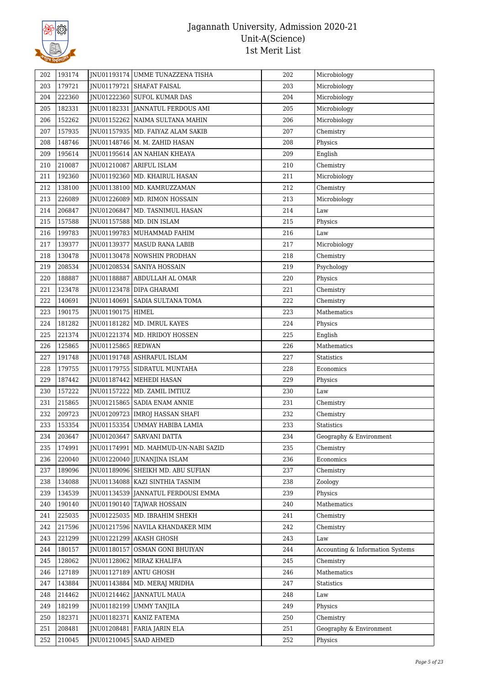

| 202        | 193174 |                      | JNU01193174 UMME TUNAZZENA TISHA     | 202 | Microbiology                     |
|------------|--------|----------------------|--------------------------------------|-----|----------------------------------|
| 203        | 179721 |                      | JNU01179721 SHAFAT FAISAL            | 203 | Microbiology                     |
| 204        | 222360 |                      | JNU01222360 SUFOL KUMAR DAS          | 204 | Microbiology                     |
| 205        | 182331 |                      | JNU01182331 JANNATUL FERDOUS AMI     | 205 | Microbiology                     |
| 206        | 152262 |                      | JNU01152262 NAIMA SULTANA MAHIN      | 206 | Microbiology                     |
| 207        | 157935 |                      | JNU01157935   MD. FAIYAZ ALAM SAKIB  | 207 | Chemistry                        |
| 208        | 148746 |                      | JNU01148746   M. M. ZAHID HASAN      | 208 | Physics                          |
| 209        | 195614 |                      | JNU01195614 AN NAHIAN KHEAYA         | 209 | English                          |
| 210        | 210087 |                      | JNU01210087   ARIFUL ISLAM           | 210 | Chemistry                        |
| 211        | 192360 |                      | JNU01192360   MD. KHAIRUL HASAN      | 211 | Microbiology                     |
| 212        | 138100 |                      | JNU01138100   MD. KAMRUZZAMAN        | 212 | Chemistry                        |
| 213        | 226089 |                      | JNU01226089   MD. RIMON HOSSAIN      | 213 | Microbiology                     |
| 214        | 206847 |                      | JNU01206847   MD. TASNIMUL HASAN     | 214 | Law                              |
| 215        | 157588 |                      | JNU01157588   MD. DIN ISLAM          | 215 | Physics                          |
| 216        | 199783 |                      | JNU01199783 MUHAMMAD FAHIM           | 216 | Law                              |
| 217        | 139377 |                      | JNU01139377   MASUD RANA LABIB       | 217 | Microbiology                     |
| 218        | 130478 |                      | JNU01130478 NOWSHIN PRODHAN          | 218 | Chemistry                        |
| 219        | 208534 |                      | JNU01208534   SANIYA HOSSAIN         | 219 | Psychology                       |
| 220        | 188887 |                      | JNU01188887 ABDULLAH AL OMAR         | 220 | Physics                          |
| 221        | 123478 |                      | JNU01123478 DIPA GHARAMI             | 221 | Chemistry                        |
| 222        | 140691 |                      | JNU01140691   SADIA SULTANA TOMA     | 222 | Chemistry                        |
| 223        | 190175 | JNU01190175   HIMEL  |                                      | 223 | Mathematics                      |
|            | 181282 |                      | JNU01181282   MD. IMRUL KAYES        | 224 |                                  |
| 224<br>225 | 221374 |                      |                                      | 225 | Physics<br>English               |
|            |        |                      | JNU01221374   MD. HRIDOY HOSSEN      |     |                                  |
| 226        | 125865 | JNU01125865   REDWAN |                                      | 226 | Mathematics                      |
| 227        | 191748 |                      | JNU01191748   ASHRAFUL ISLAM         | 227 | Statistics                       |
| 228        | 179755 |                      | JNU01179755   SIDRATUL MUNTAHA       | 228 | Economics                        |
| 229        | 187442 |                      | JNU01187442   MEHEDI HASAN           | 229 | Physics                          |
| 230        | 157222 |                      | JNU01157222   MD. ZAMIL IMTIUZ       | 230 | Law                              |
| 231        | 215865 |                      | INU01215865 SADIA ENAM ANNIE         | 231 | Chemistry                        |
| 232        | 209723 |                      | JNU01209723   IMROJ HASSAN SHAFI     | 232 | Chemistry                        |
| 233        | 153354 |                      | JNU01153354 UMMAY HABIBA LAMIA       | 233 | <b>Statistics</b>                |
| 234        | 203647 |                      | JNU01203647 SARVANI DATTA            | 234 | Geography & Environment          |
| 235        | 174991 | JNU01174991          | MD. MAHMUD-UN-NABI SAZID             | 235 | Chemistry                        |
| 236        | 220040 |                      | JNU01220040 JUNANJINA ISLAM          | 236 | Economics                        |
| 237        | 189096 |                      | INU01189096 SHEIKH MD. ABU SUFIAN    | 237 | Chemistry                        |
| 238        | 134088 |                      | JNU01134088   KAZI SINTHIA TASNIM    | 238 | Zoology                          |
| 239        | 134539 |                      | INU01134539   JANNATUL FERDOUSI EMMA | 239 | Physics                          |
| 240        | 190140 | JNU01190140          | <b>TAIWAR HOSSAIN</b>                | 240 | Mathematics                      |
| 241        | 225035 |                      | JNU01225035 MD. IBRAHIM SHEKH        | 241 | Chemistry                        |
| 242        | 217596 |                      | JNU01217596 NAVILA KHANDAKER MIM     | 242 | Chemistry                        |
| 243        | 221299 |                      | JNU01221299   AKASH GHOSH            | 243 | Law                              |
| 244        | 180157 | JNU01180157          | OSMAN GONI BHUIYAN                   | 244 | Accounting & Information Systems |
| 245        | 128062 |                      | JNU01128062   MIRAZ KHALIFA          | 245 | Chemistry                        |
| 246        | 127189 |                      | JNU01127189   ANTU GHOSH             | 246 | Mathematics                      |
| 247        | 143884 | JNU01143884          | MD. MERAJ MRIDHA                     | 247 | Statistics                       |
| 248        | 214462 |                      | JNU01214462 JANNATUL MAUA            | 248 | Law                              |
| 249        | 182199 |                      | JNU01182199   UMMY TANJILA           | 249 | Physics                          |
| 250        | 182371 |                      | JNU01182371   KANIZ FATEMA           | 250 | Chemistry                        |
| 251        | 208481 |                      | JNU01208481 FARIA JARIN ELA          | 251 | Geography & Environment          |
| 252        | 210045 |                      | JNU01210045   SAAD AHMED             | 252 | Physics                          |
|            |        |                      |                                      |     |                                  |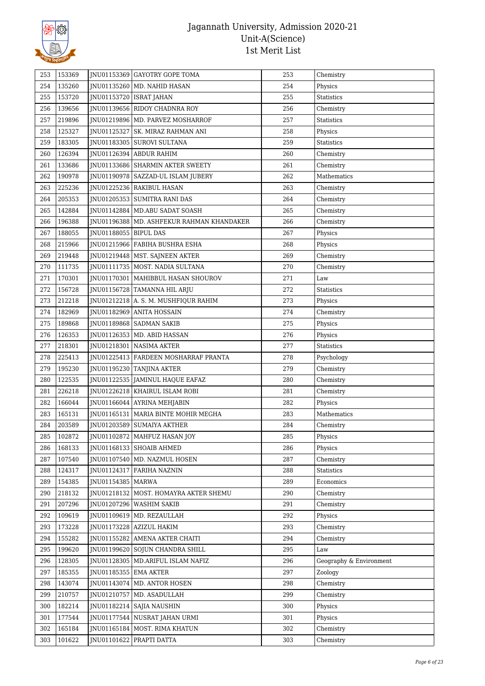

| 253 | 153369 |                           | INU01153369 GAYOTRY GOPE TOMA               | 253 | Chemistry               |
|-----|--------|---------------------------|---------------------------------------------|-----|-------------------------|
| 254 | 135260 |                           | JNU01135260   MD. NAHID HASAN               | 254 | Physics                 |
| 255 | 153720 | JNU01153720   ISRAT JAHAN |                                             | 255 | <b>Statistics</b>       |
| 256 | 139656 |                           | JNU01139656 RIDOY CHADNRA ROY               | 256 | Chemistry               |
| 257 | 219896 |                           | JNU01219896   MD. PARVEZ MOSHARROF          | 257 | Statistics              |
| 258 | 125327 |                           | JNU01125327 SK. MIRAZ RAHMAN ANI            | 258 | Physics                 |
| 259 | 183305 |                           | JNU01183305 SUROVI SULTANA                  | 259 | Statistics              |
| 260 | 126394 |                           | JNU01126394 ABDUR RAHIM                     | 260 | Chemistry               |
| 261 | 133686 |                           | JNU01133686 SHARMIN AKTER SWEETY            | 261 | Chemistry               |
| 262 | 190978 |                           | JNU01190978   SAZZAD-UL ISLAM JUBERY        | 262 | Mathematics             |
| 263 | 225236 |                           | JNU01225236 RAKIBUL HASAN                   | 263 | Chemistry               |
| 264 | 205353 |                           | JNU01205353 SUMITRA RANI DAS                | 264 | Chemistry               |
| 265 | 142884 |                           | JNU01142884   MD.ABU SADAT SOASH            | 265 | Chemistry               |
| 266 | 196388 |                           | JNU01196388   MD. ASHFEKUR RAHMAN KHANDAKER | 266 | Chemistry               |
| 267 | 188055 | JNU01188055   BIPUL DAS   |                                             | 267 | Physics                 |
| 268 | 215966 |                           | INU01215966 FABIHA BUSHRA ESHA              | 268 | Physics                 |
| 269 | 219448 |                           | JNU01219448   MST. SAJNEEN AKTER            | 269 | Chemistry               |
| 270 | 111735 |                           | JNU01111735   MOST. NADIA SULTANA           | 270 | Chemistry               |
| 271 | 170301 |                           | JNU01170301   MAHIBBUL HASAN SHOUROV        | 271 | Law                     |
| 272 | 156728 |                           | JNU01156728 TAMANNA HIL ARJU                | 272 | <b>Statistics</b>       |
| 273 | 212218 |                           | JNU01212218 A. S. M. MUSHFIQUR RAHIM        | 273 | Physics                 |
| 274 | 182969 |                           | JNU01182969   ANITA HOSSAIN                 | 274 | Chemistry               |
| 275 | 189868 |                           | JNU01189868   SADMAN SAKIB                  | 275 | Physics                 |
| 276 | 126353 |                           | JNU01126353   MD. ABID HASSAN               | 276 | Physics                 |
| 277 | 218301 |                           | JNU01218301   NASIMA AKTER                  | 277 | <b>Statistics</b>       |
| 278 | 225413 |                           | JNU01225413 FARDEEN MOSHARRAF PRANTA        | 278 | Psychology              |
| 279 | 195230 |                           | JNU01195230 TANJINA AKTER                   | 279 | Chemistry               |
| 280 | 122535 |                           | JNU01122535 JAMINUL HAQUE EAFAZ             | 280 | Chemistry               |
| 281 | 226218 |                           | JNU01226218   KHAIRUL ISLAM ROBI            | 281 | Chemistry               |
| 282 | 166044 |                           | JNU01166044   AYRINA MEHJABIN               | 282 | Physics                 |
| 283 | 165131 |                           | JNU01165131   MARIA BINTE MOHIR MEGHA       | 283 | Mathematics             |
| 284 | 203589 |                           | INU01203589 SUMAIYA AKTHER                  | 284 | Chemistry               |
| 285 | 102872 |                           | JNU01102872   MAHFUZ HASAN JOY              | 285 | Physics                 |
| 286 | 168133 |                           | JNU01168133   SHOAIB AHMED                  | 286 | Physics                 |
| 287 | 107540 |                           | JNU01107540   MD. NAZMUL HOSEN              | 287 | Chemistry               |
| 288 | 124317 |                           | JNU01124317   FARIHA NAZNIN                 | 288 | Statistics              |
| 289 | 154385 | JNU01154385   MARWA       |                                             | 289 | Economics               |
| 290 | 218132 |                           | JNU01218132   MOST. HOMAYRA AKTER SHEMU     | 290 | Chemistry               |
| 291 | 207296 |                           | JNU01207296   WASHIM SAKIB                  | 291 | Chemistry               |
| 292 | 109619 |                           | JNU01109619 MD. REZAULLAH                   | 292 | Physics                 |
| 293 | 173228 |                           | JNU01173228   AZIZUL HAKIM                  | 293 | Chemistry               |
| 294 | 155282 |                           | JNU01155282 AMENA AKTER CHAITI              | 294 | Chemistry               |
| 295 | 199620 |                           | JNU01199620 SOJUN CHANDRA SHILL             | 295 | Law                     |
| 296 | 128305 |                           | JNU01128305   MD.ARIFUL ISLAM NAFIZ         | 296 | Geography & Environment |
| 297 | 185355 | JNU01185355   EMA AKTER   |                                             | 297 | Zoology                 |
| 298 | 143074 |                           | JNU01143074   MD. ANTOR HOSEN               | 298 | Chemistry               |
| 299 | 210757 |                           | JNU01210757   MD. ASADULLAH                 | 299 | Chemistry               |
| 300 | 182214 |                           | JNU01182214   SAJIA NAUSHIN                 | 300 | Physics                 |
|     | 177544 |                           |                                             | 301 |                         |
| 301 |        |                           | JNU01177544   NUSRAT JAHAN URMI             |     | Physics                 |
| 302 | 165184 |                           | JNU01165184   MOST. RIMA KHATUN             | 302 | Chemistry               |
| 303 | 101622 |                           | JNU01101622 PRAPTI DATTA                    | 303 | Chemistry               |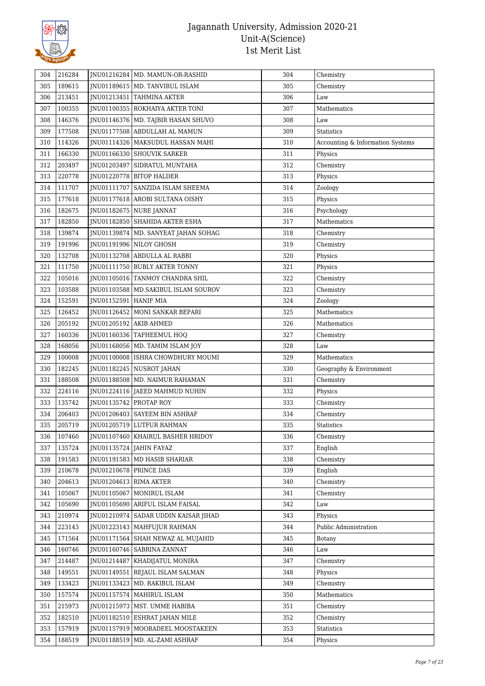

| 304 | 216284 |                          | JNU01216284   MD. MAMUN-OR-RASHID      | 304 | Chemistry                        |
|-----|--------|--------------------------|----------------------------------------|-----|----------------------------------|
| 305 | 189615 |                          | JNU01189615   MD. TANVIRUL ISLAM       | 305 | Chemistry                        |
| 306 | 213451 |                          | JNU01213451 TAHMINA AKTER              | 306 | Law                              |
| 307 | 100355 |                          | JNU01100355   ROKHAIYA AKTER TONI      | 307 | Mathematics                      |
| 308 | 146376 |                          | JNU01146376   MD. TAJBIR HASAN SHUVO   | 308 | Law                              |
| 309 | 177508 |                          | JNU01177508 ABDULLAH AL MAMUN          | 309 | Statistics                       |
| 310 | 114326 |                          | JNU01114326   MAKSUDUL HASSAN MAHI     | 310 | Accounting & Information Systems |
| 311 | 166330 |                          | JNU01166330 SHOUVIK SARKER             | 311 | Physics                          |
| 312 | 203497 |                          | JNU01203497   SIDRATUL MUNTAHA         | 312 | Chemistry                        |
| 313 | 220778 |                          | JNU01220778   BITOP HALDER             | 313 | Physics                          |
| 314 | 111707 |                          | JNU01111707   SANZIDA ISLAM SHEEMA     | 314 | Zoology                          |
| 315 | 177618 |                          | JNU01177618   AROBI SULTANA OISHY      | 315 | Physics                          |
| 316 | 182675 |                          | JNU01182675   NURE JANNAT              | 316 | Psychology                       |
| 317 | 182850 |                          | JNU01182850 SHAHIDA AKTER ESHA         | 317 | Mathematics                      |
| 318 | 139874 |                          | JNU01139874   MD. SANYEAT JAHAN SOHAG  | 318 | Chemistry                        |
| 319 | 191996 |                          | JNU01191996 NILOY GHOSH                | 319 | Chemistry                        |
| 320 | 132708 |                          | INU01132708 ABDULLA AL RABBI           | 320 | Physics                          |
| 321 | 111750 |                          | JNU01111750   BUBLY AKTER TONNY        | 321 | Physics                          |
| 322 | 105016 |                          | JNU01105016   TANMOY CHANDRA SHIL      | 322 | Chemistry                        |
| 323 | 103588 |                          | JNU01103588   MD.SAKIBUL ISLAM SOUROV  | 323 | Chemistry                        |
| 324 | 152591 | JNU01152591   HANIF MIA  |                                        | 324 | Zoology                          |
| 325 | 126452 |                          | JNU01126452   MONI SANKAR BEPARI       | 325 | Mathematics                      |
| 326 | 205192 | JNU01205192   AKIB AHMED |                                        | 326 | Mathematics                      |
| 327 | 160336 |                          | JNU01160336   TAFHEEMUL HOQ            | 327 | Chemistry                        |
| 328 | 168056 |                          | JNU01168056   MD. TAMIM ISLAM JOY      | 328 | Law                              |
| 329 | 100008 |                          | JNU01100008   ISHRA CHOWDHURY MOUMI    | 329 | Mathematics                      |
| 330 | 182245 |                          | JNU01182245   NUSROT JAHAN             | 330 | Geography & Environment          |
| 331 | 188508 |                          | JNU01188508   MD. NAIMUR RAHAMAN       | 331 | Chemistry                        |
| 332 | 224116 |                          | JNU01224116 JAEED MAHMUD NUHIN         | 332 | Physics                          |
| 333 | 135742 | JNU01135742 PROTAP ROY   |                                        | 333 | Chemistry                        |
| 334 | 206403 |                          | JNU01206403 SAYEEM BIN ASHRAF          | 334 | Chemistry                        |
| 335 | 205719 |                          | JNU01205719 LUTFUR RAHMAN              | 335 | Statistics                       |
| 336 | 107460 |                          | JNU01107460   KHAIRUL BASHER HRIDOY    | 336 | Chemistry                        |
| 337 | 135724 |                          | JNU01135724 JAHIN FAYAZ                | 337 | English                          |
| 338 | 191583 |                          | JNU01191583   MD HASIB SHARIAR         | 338 | Chemistry                        |
| 339 | 210678 | JNU01210678   PRINCE DAS |                                        | 339 | English                          |
| 340 | 204613 | JNU01204613 RIMA AKTER   |                                        | 340 | Chemistry                        |
| 341 | 105067 |                          | INU01105067 MONIRUL ISLAM              | 341 | Chemistry                        |
| 342 | 105690 |                          | JNU01105690 ARIFUL ISLAM FAISAL        | 342 | Law                              |
| 343 | 210974 |                          | JNU01210974   SADAR UDDIN KAISAR JIHAD | 343 | Physics                          |
| 344 | 223143 |                          | JNU01223143   MAHFUJUR RAHMAN          | 344 | Public Administration            |
| 345 | 171564 |                          | JNU01171564 SHAH NEWAZ AL MUJAHID      | 345 | Botany                           |
| 346 | 160746 |                          | JNU01160746   SABRINA ZANNAT           | 346 | Law                              |
| 347 | 214487 |                          | JNU01214487   KHADIJATUL MONIRA        | 347 | Chemistry                        |
| 348 | 149551 | JNU01149551              | REJAUL ISLAM SALMAN                    | 348 | Physics                          |
| 349 | 133423 |                          | JNU01133423   MD. RAKIBUL ISLAM        | 349 | Chemistry                        |
| 350 | 157574 |                          | JNU01157574   MAHIRUL ISLAM            | 350 | Mathematics                      |
| 351 | 215973 |                          | JNU01215973   MST. UMME HABIBA         | 351 | Chemistry                        |
| 352 | 182510 |                          | JNU01182510 ESHRAT JAHAN MILE          | 352 | Chemistry                        |
| 353 | 157919 |                          | JNU01157919   MOORADEEL MOOSTAKEEN     | 353 | Statistics                       |
| 354 | 188519 |                          | JNU01188519   MD. AL-ZAMI ASHRAF       | 354 | Physics                          |
|     |        |                          |                                        |     |                                  |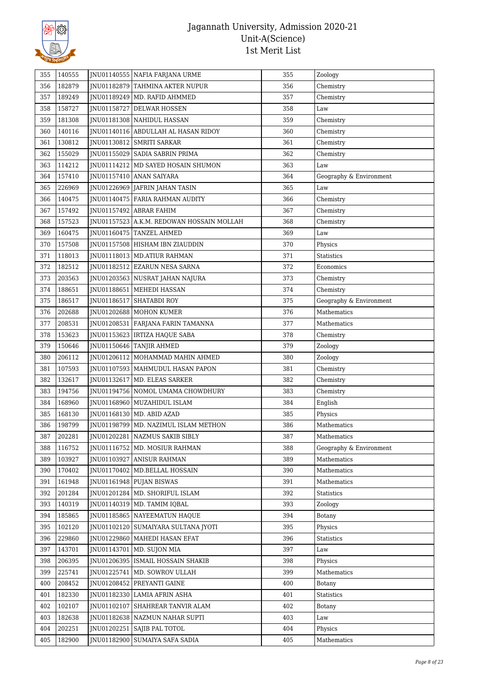

| 355        | 140555 | JNU01140555   NAFIA FARJANA URME          | 355 | Zoology                 |
|------------|--------|-------------------------------------------|-----|-------------------------|
| 356        | 182879 | JNU01182879 TAHMINA AKTER NUPUR           | 356 | Chemistry               |
| 357        | 189249 | JNU01189249   MD. RAFID AHMMED            | 357 | Chemistry               |
| 358        | 158727 | JNU01158727 DELWAR HOSSEN                 | 358 | Law                     |
| 359        | 181308 | <b>INU01181308 NAHIDUL HASSAN</b>         | 359 | Chemistry               |
| 360        | 140116 | JNU01140116 ABDULLAH AL HASAN RIDOY       | 360 | Chemistry               |
| 361        | 130812 | JNU01130812 SMRITI SARKAR                 | 361 | Chemistry               |
| 362        | 155029 | JNU01155029   SADIA SABRIN PRIMA          | 362 | Chemistry               |
| 363        | 114212 | JNU01114212   MD SAYED HOSAIN SHUMON      | 363 | Law                     |
| 364        | 157410 | JNU01157410   ANAN SAIYARA                | 364 | Geography & Environment |
| 365        | 226969 | JNU01226969 JAFRIN JAHAN TASIN            | 365 | Law                     |
| 366        | 140475 | JNU01140475   FARIA RAHMAN AUDITY         | 366 | Chemistry               |
| 367        | 157492 | JNU01157492 ABRAR FAHIM                   | 367 | Chemistry               |
| 368        | 157523 | JNU01157523 A.K.M. REDOWAN HOSSAIN MOLLAH | 368 | Chemistry               |
| 369        | 160475 | JNU01160475 TANZEL AHMED                  | 369 | Law                     |
| 370        | 157508 | JNU01157508 HISHAM IBN ZIAUDDIN           | 370 | Physics                 |
| 371        | 118013 | JNU01118013   MD.ATIUR RAHMAN             | 371 | Statistics              |
| 372        | 182512 | JNU01182512 EZARUN NESA SARNA             | 372 | Economics               |
| 373        | 203563 | JNU01203563   NUSRAT JAHAN NAJURA         | 373 | Chemistry               |
| 374        | 188651 | JNU01188651   MEHEDI HASSAN               | 374 | Chemistry               |
| 375        | 186517 | JNU01186517 SHATABDI ROY                  | 375 | Geography & Environment |
| 376        | 202688 | JNU01202688   MOHON KUMER                 | 376 | Mathematics             |
| 377        | 208531 | JNU01208531   FARJANA FARIN TAMANNA       | 377 | Mathematics             |
| 378        | 153623 | JNU01153623   IRTIZA HAQUE SABA           | 378 | Chemistry               |
| 379        | 150646 | JNU01150646 TANJIR AHMED                  | 379 | Zoology                 |
| 380        | 206112 | JNU01206112   MOHAMMAD MAHIN AHMED        | 380 | Zoology                 |
| 381        | 107593 | JNU01107593   MAHMUDUL HASAN PAPON        | 381 | Chemistry               |
| 382        | 132617 | JNU01132617   MD. ELEAS SARKER            | 382 | Chemistry               |
| 383        | 194756 | JNU01194756 NOMOL UMAMA CHOWDHURY         | 383 | Chemistry               |
| 384        | 168960 | JNU01168960   MUZAHIDUL ISLAM             | 384 | English                 |
| 385        | 168130 | JNU01168130   MD. ABID AZAD               | 385 | Physics                 |
| 386        | 198799 | JNU01198799   MD. NAZIMUL ISLAM METHON    | 386 | Mathematics             |
|            | 202281 | JNU01202281 NAZMUS SAKIB SIBLY            | 387 | Mathematics             |
| 387<br>388 | 116752 | JNU01116752   MD. MOSIUR RAHMAN           | 388 | Geography & Environment |
|            | 103927 | <b>INU01103927 ANISUR RAHMAN</b>          | 389 | Mathematics             |
| 389        | 170402 | JNU01170402   MD.BELLAL HOSSAIN           | 390 | Mathematics             |
| 390        | 161948 |                                           |     | Mathematics             |
| 391        |        | JNU01161948 PUJAN BISWAS                  | 391 |                         |
| 392        | 201284 | JNU01201284   MD. SHORIFUL ISLAM          | 392 | Statistics              |
| 393        | 140319 | JNU01140319   MD. TAMIM IQBAL             | 393 | Zoology                 |
| 394        | 185865 | JNU01185865 NAYEEMATUN HAQUE              | 394 | Botany                  |
| 395        | 102120 | JNU01102120   SUMAIYARA SULTANA JYOTI     | 395 | Physics                 |
| 396        | 229860 | INU01229860   MAHEDI HASAN EFAT           | 396 | <b>Statistics</b>       |
| 397        | 143701 | JNU01143701   MD. SUJON MIA               | 397 | Law                     |
| 398        | 206395 | JNU01206395   ISMAIL HOSSAIN SHAKIB       | 398 | Physics                 |
| 399        | 225741 | JNU01225741   MD. SOWROV ULLAH            | 399 | Mathematics             |
| 400        | 208452 | JNU01208452 PREYANTI GAINE                | 400 | Botany                  |
| 401        | 182330 | JNU01182330 LAMIA AFRIN ASHA              | 401 | Statistics              |
| 402        | 102107 | JNU01102107   SHAHREAR TANVIR ALAM        | 402 | Botany                  |
| 403        | 182638 | JNU01182638   NAZMUN NAHAR SUPTI          | 403 | Law                     |
| 404        | 202251 | JNU01202251   SAJIB PAL TOTOL             | 404 | Physics                 |
| 405        | 182900 | JNU01182900   SUMAIYA SAFA SADIA          | 405 | Mathematics             |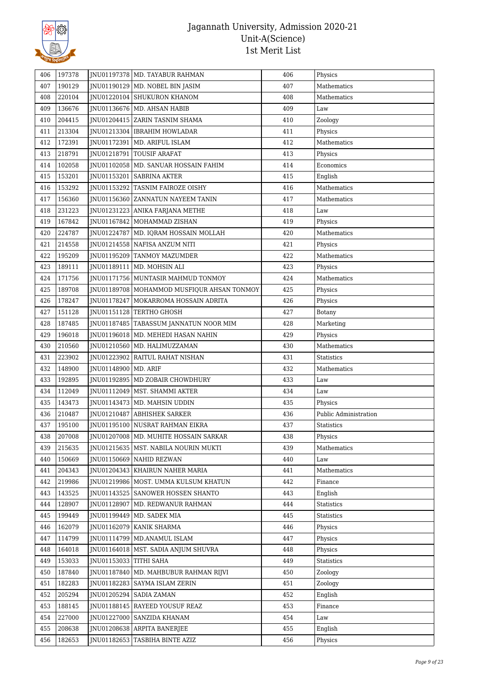

| 406 | 197378 |                        | JNU01197378 MD. TAYABUR RAHMAN               | 406 | Physics                        |
|-----|--------|------------------------|----------------------------------------------|-----|--------------------------------|
| 407 | 190129 |                        | JNU01190129   MD. NOBEL BIN JASIM            | 407 | Mathematics                    |
| 408 | 220104 |                        | JNU01220104 SHUKURON KHANOM                  | 408 | Mathematics                    |
| 409 | 136676 |                        | JNU01136676   MD. AHSAN HABIB                | 409 | $_{\mbox{\footnotesize{Law}}}$ |
| 410 | 204415 |                        | JNU01204415 ZARIN TASNIM SHAMA               | 410 | Zoology                        |
| 411 | 213304 |                        | JNU01213304   IBRAHIM HOWLADAR               | 411 | Physics                        |
| 412 | 172391 |                        | JNU01172391   MD. ARIFUL ISLAM               | 412 | Mathematics                    |
| 413 | 218791 |                        | JNU01218791   TOUSIF ARAFAT                  | 413 | Physics                        |
| 414 | 102058 |                        | JNU01102058   MD. SANUAR HOSSAIN FAHIM       | 414 | Economics                      |
| 415 | 153201 |                        | INU01153201   SABRINA AKTER                  | 415 | English                        |
| 416 | 153292 |                        | JNU01153292 TASNIM FAIROZE OISHY             | 416 | Mathematics                    |
| 417 | 156360 |                        | JNU01156360 ZANNATUN NAYEEM TANIN            | 417 | Mathematics                    |
| 418 | 231223 |                        | JNU01231223   ANIKA FARJANA METHE            | 418 | Law                            |
| 419 | 167842 |                        | JNU01167842   MOHAMMAD ZISHAN                | 419 | Physics                        |
| 420 | 224787 |                        | JNU01224787   MD. IQRAM HOSSAIN MOLLAH       | 420 | Mathematics                    |
| 421 | 214558 |                        | JNU01214558   NAFISA ANZUM NITI              | 421 | Physics                        |
| 422 | 195209 |                        | JNU01195209 TANMOY MAZUMDER                  | 422 | Mathematics                    |
| 423 | 189111 |                        | JNU01189111   MD. MOHSIN ALI                 | 423 | Physics                        |
| 424 | 171756 |                        | JNU01171756   MUNTASIR MAHMUD TONMOY         | 424 | Mathematics                    |
| 425 | 189708 |                        | JNU01189708   MOHAMMOD MUSFIQUR AHSAN TONMOY | 425 | Physics                        |
| 426 | 178247 |                        | INU01178247 MOKARROMA HOSSAIN ADRITA         | 426 | Physics                        |
| 427 | 151128 |                        | JNU01151128   TERTHO GHOSH                   | 427 | Botany                         |
| 428 | 187485 |                        | JNU01187485   TABASSUM JANNATUN NOOR MIM     | 428 | Marketing                      |
| 429 | 196018 |                        | JNU01196018   MD. MEHEDI HASAN NAHIN         | 429 | Physics                        |
| 430 | 210560 |                        | JNU01210560   MD. HALIMUZZAMAN               | 430 | Mathematics                    |
| 431 | 223902 |                        | JNU01223902 RAITUL RAHAT NISHAN              | 431 | <b>Statistics</b>              |
| 432 | 148900 | JNU01148900   MD. ARIF |                                              | 432 | Mathematics                    |
| 433 | 192895 |                        | JNU01192895   MD ZOBAIR CHOWDHURY            | 433 | $\mbox{Law}$                   |
| 434 | 112049 |                        | JNU01112049   MST. SHAMMI AKTER              | 434 | Law                            |
| 435 | 143473 |                        | JNU01143473   MD. MAHSIN UDDIN               | 435 | Physics                        |
| 436 | 210487 |                        | JNU01210487 ABHISHEK SARKER                  | 436 | Public Administration          |
| 437 | 195100 |                        | JNU01195100 NUSRAT RAHMAN EIKRA              | 437 | Statistics                     |
| 438 | 207008 |                        | JNU01207008   MD. MUHITE HOSSAIN SARKAR      | 438 | Physics                        |
| 439 | 215635 |                        | JNU01215635   MST. NABILA NOURIN MUKTI       | 439 | Mathematics                    |
| 440 | 150669 |                        | JNU01150669 NAHID REZWAN                     | 440 | Law                            |
| 441 | 204343 |                        | JNU01204343   KHAIRUN NAHER MARIA            | 441 | Mathematics                    |
| 442 | 219986 |                        | JNU01219986   MOST. UMMA KULSUM KHATUN       | 442 | Finance                        |
| 443 | 143525 |                        | JNU01143525   SANOWER HOSSEN SHANTO          | 443 | English                        |
| 444 | 128907 | JNU01128907            | MD. REDWANUR RAHMAN                          | 444 | Statistics                     |
| 445 | 199449 |                        | JNU01199449   MD. SADEK MIA                  | 445 | Statistics                     |
| 446 | 162079 |                        | JNU01162079   KANIK SHARMA                   | 446 | Physics                        |
| 447 | 114799 |                        | JNU01114799   MD.ANAMUL ISLAM                | 447 | Physics                        |
| 448 | 164018 |                        | JNU01164018   MST. SADIA ANJUM SHUVRA        | 448 | Physics                        |
| 449 | 153033 | JNU01153033 TITHI SAHA |                                              | 449 | Statistics                     |
| 450 | 187840 |                        | JNU01187840   MD. MAHBUBUR RAHMAN RIJVI      | 450 | Zoology                        |
| 451 | 182283 |                        | JNU01182283   SAYMA ISLAM ZERIN              | 451 | Zoology                        |
| 452 | 205294 |                        | JNU01205294   SADIA ZAMAN                    | 452 | English                        |
| 453 | 188145 |                        | JNU01188145 RAYEED YOUSUF REAZ               | 453 | Finance                        |
| 454 | 227000 |                        | JNU01227000 SANZIDA KHANAM                   | 454 | Law                            |
| 455 | 208638 |                        | JNU01208638 ARPITA BANERJEE                  | 455 | English                        |
| 456 | 182653 |                        | JNU01182653 TASBIHA BINTE AZIZ               | 456 | Physics                        |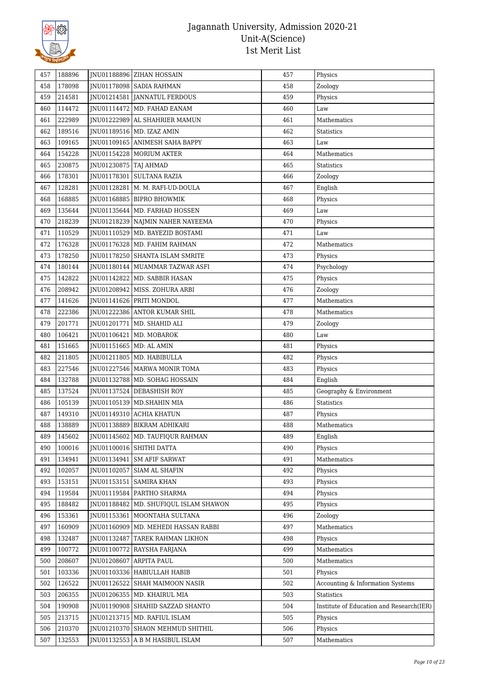

| 457 | 188896 |                           | JNU01188896 ZIHAN HOSSAIN             | 457 | Physics                                  |
|-----|--------|---------------------------|---------------------------------------|-----|------------------------------------------|
| 458 | 178098 |                           | JNU01178098   SADIA RAHMAN            | 458 | Zoology                                  |
| 459 | 214581 |                           | JNU01214581 JANNATUL FERDOUS          | 459 | Physics                                  |
| 460 | 114472 |                           | JNU01114472   MD. FAHAD EANAM         | 460 | Law                                      |
| 461 | 222989 |                           | INU01222989 AL SHAHRIER MAMUN         | 461 | Mathematics                              |
| 462 | 189516 |                           | JNU01189516   MD. IZAZ AMIN           | 462 | <b>Statistics</b>                        |
| 463 | 109165 |                           | JNU01109165 ANIMESH SAHA BAPPY        | 463 | Law                                      |
| 464 | 154228 |                           | JNU01154228   MORIUM AKTER            | 464 | Mathematics                              |
| 465 | 230875 | JNU01230875   TAJ AHMAD   |                                       | 465 | <b>Statistics</b>                        |
| 466 | 178301 |                           | JNU01178301   SULTANA RAZIA           | 466 | Zoology                                  |
| 467 | 128281 |                           | JNU01128281   M. M. RAFI-UD-DOULA     | 467 | English                                  |
| 468 | 168885 |                           | JNU01168885   BIPRO BHOWMIK           | 468 | Physics                                  |
| 469 | 135644 |                           | JNU01135644   MD. FARHAD HOSSEN       | 469 | Law                                      |
| 470 | 218239 |                           | JNU01218239 NAJMIN NAHER NAYEEMA      | 470 | Physics                                  |
| 471 | 110529 |                           | JNU01110529   MD. BAYEZID BOSTAMI     | 471 | Law                                      |
| 472 | 176328 |                           | JNU01176328   MD. FAHIM RAHMAN        | 472 | Mathematics                              |
| 473 | 178250 |                           | JNU01178250 SHANTA ISLAM SMRITE       | 473 | Physics                                  |
| 474 | 180144 |                           | JNU01180144   MUAMMAR TAZWAR ASFI     | 474 | Psychology                               |
| 475 | 142822 |                           | JNU01142822   MD. SABBIR HASAN        | 475 | Physics                                  |
| 476 | 208942 |                           | JNU01208942   MISS. ZOHURA ARBI       | 476 | Zoology                                  |
| 477 | 141626 |                           | JNU01141626 PRITI MONDOL              | 477 | Mathematics                              |
| 478 | 222386 |                           | JNU01222386 ANTOR KUMAR SHIL          | 478 | Mathematics                              |
| 479 | 201771 |                           | JNU01201771   MD. SHAHID ALI          | 479 | Zoology                                  |
| 480 | 106421 |                           | JNU01106421   MD. MOBAROK             | 480 | $_{\mbox{\footnotesize{Law}}}$           |
| 481 | 151665 | JNU01151665   MD: AL AMIN |                                       | 481 | Physics                                  |
| 482 | 211805 |                           | JNU01211805   MD. HABIBULLA           | 482 | Physics                                  |
| 483 | 227546 |                           | JNU01227546   MARWA MONIR TOMA        | 483 | Physics                                  |
| 484 | 132788 |                           | JNU01132788   MD. SOHAG HOSSAIN       | 484 | English                                  |
| 485 | 137524 |                           | JNU01137524 DEBASHISH ROY             | 485 | Geography & Environment                  |
| 486 | 105139 |                           | JNU01105139   MD.SHAHIN MIA           | 486 | Statistics                               |
| 487 | 149310 |                           | JNU01149310 ACHIA KHATUN              | 487 | Physics                                  |
| 488 | 138889 |                           | JNU01138889 BIKRAM ADHIKARI           | 488 | Mathematics                              |
| 489 | 145602 |                           | JNU01145602   MD. TAUFIQUR RAHMAN     | 489 | English                                  |
| 490 | 100016 |                           | JNU01100016 SHITHI DATTA              | 490 | Physics                                  |
| 491 | 134941 |                           | JNU01134941   SM AFIF SARWAT          | 491 | Mathematics                              |
| 492 | 102057 |                           | JNU01102057 SIAM AL SHAFIN            | 492 | Physics                                  |
| 493 | 153151 |                           | JNU01153151   SAMIRA KHAN             | 493 | Physics                                  |
| 494 | 119584 |                           | JNU01119584   PARTHO SHARMA           | 494 | Physics                                  |
|     | 188482 | JNU01188482               | MD. SHUFIQUL ISLAM SHAWON             | 495 | Physics                                  |
| 495 |        |                           |                                       |     |                                          |
| 496 | 153361 |                           | JNU01153361   MOONTAHA SULTANA        | 496 | Zoology                                  |
| 497 | 160909 |                           | JNU01160909   MD. MEHEDI HASSAN RABBI | 497 | Mathematics                              |
| 498 | 132487 | JNU01132487               | TAREK RAHMAN LIKHON                   | 498 | Physics                                  |
| 499 | 100772 |                           | JNU01100772   RAYSHA FARJANA          | 499 | Mathematics                              |
| 500 | 208607 |                           | JNU01208607 ARPITA PAUL               | 500 | Mathematics                              |
| 501 | 103336 |                           | JNU01103336   HABIULLAH HABIB         | 501 | Physics                                  |
| 502 | 126522 |                           | JNU01126522 SHAH MAIMOON NASIR        | 502 | Accounting & Information Systems         |
| 503 | 206355 |                           | JNU01206355   MD. KHAIRUL MIA         | 503 | <b>Statistics</b>                        |
| 504 | 190908 |                           | JNU01190908 SHAHID SAZZAD SHANTO      | 504 | Institute of Education and Research(IER) |
| 505 | 213715 |                           | JNU01213715   MD. RAFIUL ISLAM        | 505 | Physics                                  |
| 506 | 210370 |                           | JNU01210370 SHAON MEHMUD SHITHIL      | 506 | Physics                                  |
| 507 | 132553 |                           | JNU01132553 A B M HASIBUL ISLAM       | 507 | Mathematics                              |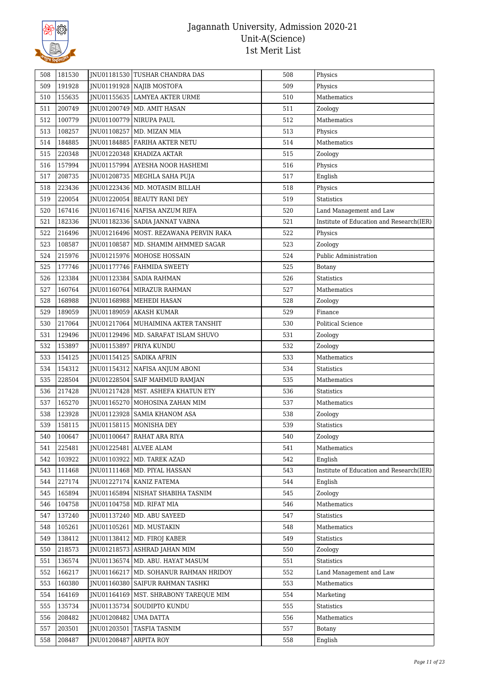

| 508 | 181530 |                         | <b>INU01181530 TUSHAR CHANDRA DAS</b>    | 508 | Physics                                  |
|-----|--------|-------------------------|------------------------------------------|-----|------------------------------------------|
| 509 | 191928 |                         | JNU01191928 NAJIB MOSTOFA                | 509 | Physics                                  |
| 510 | 155635 |                         | JNU01155635 LAMYEA AKTER URME            | 510 | Mathematics                              |
| 511 | 200749 |                         | JNU01200749   MD. AMIT HASAN             | 511 | Zoology                                  |
| 512 | 100779 |                         | JNU01100779 NIRUPA PAUL                  | 512 | Mathematics                              |
| 513 | 108257 |                         | JNU01108257   MD. MIZAN MIA              | 513 | Physics                                  |
| 514 | 184885 |                         | JNU01184885   FARIHA AKTER NETU          | 514 | Mathematics                              |
| 515 | 220348 |                         | JNU01220348   KHADIZA AKTAR              | 515 | Zoology                                  |
| 516 | 157994 |                         | INU01157994 AYESHA NOOR HASHEMI          | 516 | Physics                                  |
| 517 | 208735 |                         | JNU01208735   MEGHLA SAHA PUJA           | 517 | English                                  |
| 518 | 223436 |                         | INU01223436   MD. MOTASIM BILLAH         | 518 | Physics                                  |
| 519 | 220054 |                         | JNU01220054 BEAUTY RANI DEY              | 519 | <b>Statistics</b>                        |
| 520 | 167416 |                         | JNU01167416   NAFISA ANZUM RIFA          | 520 | Land Management and Law                  |
| 521 | 182336 |                         | JNU01182336   SADIA JANNAT VABNA         | 521 | Institute of Education and Research(IER) |
| 522 | 216496 |                         | JNU01216496   MOST. REZAWANA PERVIN RAKA | 522 | Physics                                  |
| 523 | 108587 |                         | JNU01108587   MD. SHAMIM AHMMED SAGAR    | 523 | Zoology                                  |
| 524 | 215976 |                         | JNU01215976   MOHOSE HOSSAIN             | 524 | Public Administration                    |
| 525 | 177746 |                         | JNU01177746 FAHMIDA SWEETY               | 525 | Botany                                   |
| 526 | 123384 |                         | JNU01123384   SADIA RAHMAN               | 526 | <b>Statistics</b>                        |
| 527 | 160764 |                         | <b>INU01160764 MIRAZUR RAHMAN</b>        | 527 | Mathematics                              |
| 528 | 168988 |                         | JNU01168988   MEHEDI HASAN               | 528 | Zoology                                  |
| 529 | 189059 |                         | JNU01189059 AKASH KUMAR                  | 529 | Finance                                  |
| 530 | 217064 |                         | JNU01217064   MUHAIMINA AKTER TANSHIT    | 530 | <b>Political Science</b>                 |
| 531 | 129496 |                         | JNU01129496   MD. SARAFAT ISLAM SHUVO    | 531 | Zoology                                  |
| 532 | 153897 |                         | JNU01153897 PRIYA KUNDU                  | 532 | Zoology                                  |
| 533 | 154125 |                         | JNU01154125   SADIKA AFRIN               | 533 | Mathematics                              |
| 534 | 154312 |                         | JNU01154312   NAFISA ANJUM ABONI         | 534 | <b>Statistics</b>                        |
| 535 | 228504 |                         | JNU01228504   SAIF MAHMUD RAMJAN         | 535 | Mathematics                              |
| 536 | 217428 |                         | JNU01217428   MST. ASHEFA KHATUN ETY     | 536 | <b>Statistics</b>                        |
| 537 | 165270 |                         | JNU01165270 MOHOSINA ZAHAN MIM           | 537 | Mathematics                              |
| 538 | 123928 |                         | JNU01123928 SAMIA KHANOM ASA             | 538 | Zoology                                  |
| 539 | 158115 |                         | JNU01158115   MONISHA DEY                | 539 | <b>Statistics</b>                        |
| 540 | 100647 |                         | JNU01100647 RAHAT ARA RIYA               | 540 | Zoology                                  |
| 541 | 225481 |                         | JNU01225481 ALVEE ALAM                   | 541 | Mathematics                              |
| 542 | 103922 |                         | JNU01103922   MD. TAREK AZAD             | 542 | English                                  |
| 543 | 111468 |                         | JNU01111468 MD. PIYAL HASSAN             | 543 | Institute of Education and Research(IER) |
| 544 | 227174 |                         | JNU01227174   KANIZ FATEMA               | 544 | English                                  |
| 545 | 165894 |                         | INU01165894 NISHAT SHABIHA TASNIM        | 545 | Zoology                                  |
| 546 | 104758 |                         | JNU01104758   MD. RIFAT MIA              | 546 | Mathematics                              |
| 547 | 137240 |                         | JNU01137240   MD. ABU SAYEED             | 547 | Statistics                               |
| 548 | 105261 |                         | JNU01105261   MD. MUSTAKIN               | 548 | Mathematics                              |
| 549 | 138412 |                         | JNU01138412   MD. FIROJ KABER            | 549 | <b>Statistics</b>                        |
| 550 | 218573 |                         | JNU01218573 ASHRAD JAHAN MIM             | 550 | Zoology                                  |
| 551 | 136574 |                         | JNU01136574   MD. ABU. HAYAT MASUM       | 551 | Statistics                               |
| 552 | 166217 |                         | JNU01166217   MD. SOHANUR RAHMAN HRIDOY  | 552 | Land Management and Law                  |
| 553 | 160380 |                         | JNU01160380   SAIFUR RAHMAN TASHKI       | 553 | Mathematics                              |
| 554 | 164169 |                         | JNU01164169   MST. SHRABONY TAREQUE MIM  | 554 | Marketing                                |
| 555 | 135734 |                         | JNU01135734 SOUDIPTO KUNDU               | 555 | Statistics                               |
| 556 | 208482 | JNU01208482   UMA DATTA |                                          | 556 | Mathematics                              |
| 557 | 203501 |                         | JNU01203501 TASFIA TASNIM                | 557 | <b>Botany</b>                            |
|     | 208487 | JNU01208487             | <b>ARPITA ROY</b>                        | 558 |                                          |
| 558 |        |                         |                                          |     | English                                  |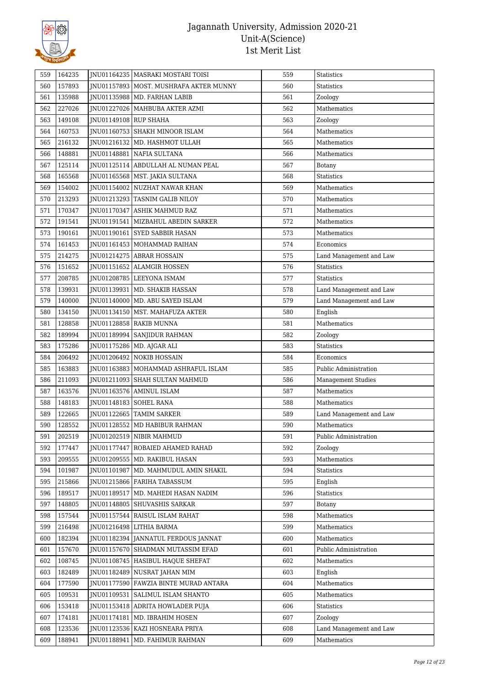

| 559 | 164235 |                       | JNU01164235   MASRAKI MOSTARI TOISI      | 559 | <b>Statistics</b>         |
|-----|--------|-----------------------|------------------------------------------|-----|---------------------------|
| 560 | 157893 |                       | JNU01157893   MOST. MUSHRAFA AKTER MUNNY | 560 | <b>Statistics</b>         |
| 561 | 135988 |                       | JNU01135988   MD. FARHAN LABIB           | 561 | Zoology                   |
| 562 | 227026 |                       | JNU01227026   MAHBUBA AKTER AZMI         | 562 | Mathematics               |
| 563 | 149108 | JNU01149108 RUP SHAHA |                                          | 563 | Zoology                   |
| 564 | 160753 |                       | JNU01160753 SHAKH MINOOR ISLAM           | 564 | Mathematics               |
| 565 | 216132 |                       | JNU01216132   MD. HASHMOT ULLAH          | 565 | Mathematics               |
| 566 | 148881 |                       | JNU01148881 NAFIA SULTANA                | 566 | Mathematics               |
| 567 | 125114 |                       | JNU01125114 ABDULLAH AL NUMAN PEAL       | 567 | <b>Botany</b>             |
| 568 | 165568 |                       | JNU01165568   MST. JAKIA SULTANA         | 568 | <b>Statistics</b>         |
| 569 | 154002 |                       | JNU01154002 NUZHAT NAWAR KHAN            | 569 | Mathematics               |
| 570 | 213293 |                       | JNU01213293 TASNIM GALIB NILOY           | 570 | Mathematics               |
| 571 | 170347 |                       | JNU01170347 ASHIK MAHMUD RAZ             | 571 | Mathematics               |
| 572 | 191541 |                       | JNU01191541   MIZBAHUL ABEDIN SARKER     | 572 | Mathematics               |
| 573 | 190161 |                       | JNU01190161 SYED SABBIR HASAN            | 573 | Mathematics               |
| 574 | 161453 |                       | JNU01161453   MOHAMMAD RAIHAN            | 574 | Economics                 |
| 575 | 214275 |                       | JNU01214275   ABRAR HOSSAIN              | 575 | Land Management and Law   |
| 576 | 151652 |                       | JNU01151652 ALAMGIR HOSSEN               | 576 | <b>Statistics</b>         |
| 577 | 208785 |                       | JNU01208785   LEEYONA ISMAM              | 577 | <b>Statistics</b>         |
| 578 | 139931 |                       | JNU01139931   MD. SHAKIB HASSAN          | 578 | Land Management and Law   |
| 579 | 140000 |                       | JNU01140000   MD. ABU SAYED ISLAM        | 579 | Land Management and Law   |
| 580 | 134150 |                       | JNU01134150   MST. MAHAFUZA AKTER        | 580 | English                   |
| 581 | 128858 |                       | JNU01128858 RAKIB MUNNA                  | 581 | Mathematics               |
| 582 | 189994 |                       | JNU01189994 SANJIDUR RAHMAN              | 582 | Zoology                   |
| 583 | 175286 |                       | JNU01175286   MD. AJGAR ALI              | 583 | Statistics                |
| 584 | 206492 |                       | JNU01206492 NOKIB HOSSAIN                | 584 | Economics                 |
| 585 | 163883 |                       | JNU01163883   MOHAMMAD ASHRAFUL ISLAM    | 585 | Public Administration     |
| 586 | 211093 |                       | JNU01211093 SHAH SULTAN MAHMUD           | 586 | <b>Management Studies</b> |
| 587 | 163576 |                       | JNU01163576 AMINUL ISLAM                 | 587 | Mathematics               |
| 588 | 148183 | JNU01148183           | <b>SOHEL RANA</b>                        | 588 | Mathematics               |
| 589 | 122665 |                       | JNU01122665 TAMIM SARKER                 | 589 | Land Management and Law   |
| 590 | 128552 |                       | INU01128552 MD HABIBUR RAHMAN            | 590 | Mathematics               |
| 591 | 202519 |                       | JNU01202519 NIBIR MAHMUD                 | 591 | Public Administration     |
| 592 | 177447 | JNU01177447           | ROBAIED AHAMED RAHAD                     | 592 | Zoology                   |
| 593 | 209555 |                       | JNU01209555   MD. RAKIBUL HASAN          | 593 | Mathematics               |
| 594 | 101987 |                       | JNU01101987   MD. MAHMUDUL AMIN SHAKIL   | 594 | Statistics                |
| 595 | 215866 |                       | INU01215866 FARIHA TABASSUM              | 595 | English                   |
| 596 | 189517 | JNU01189517           | MD. MAHEDI HASAN NADIM                   | 596 | Statistics                |
| 597 | 148805 | JNU01148805           | SHUVASHIS SARKAR                         | 597 | Botany                    |
| 598 | 157544 |                       | JNU01157544 RAISUL ISLAM RAHAT           | 598 | Mathematics               |
| 599 | 216498 |                       | JNU01216498 LITHIA BARMA                 | 599 | Mathematics               |
| 600 | 182394 |                       | JNU01182394 JANNATUL FERDOUS JANNAT      | 600 | Mathematics               |
| 601 | 157670 | JNU01157670           | SHADMAN MUTASSIM EFAD                    | 601 | Public Administration     |
| 602 | 108745 |                       | JNU01108745   HASIBUL HAQUE SHEFAT       | 602 | Mathematics               |
| 603 | 182489 |                       | JNU01182489   NUSRAT JAHAN MIM           | 603 | English                   |
| 604 | 177590 | JNU01177590           | FAWZIA BINTE MURAD ANTARA                | 604 | Mathematics               |
| 605 | 109531 | JNU01109531           | SALIMUL ISLAM SHANTO                     | 605 | Mathematics               |
| 606 | 153418 |                       | JNU01153418   ADRITA HOWLADER PUJA       | 606 | Statistics                |
| 607 | 174181 | JNU01174181           | MD. IBRAHIM HOSEN                        | 607 | Zoology                   |
| 608 | 123536 |                       | JNU01123536   KAZI HOSNEARA PRIYA        | 608 | Land Management and Law   |
| 609 | 188941 | JNU01188941           | MD. FAHIMUR RAHMAN                       | 609 | Mathematics               |
|     |        |                       |                                          |     |                           |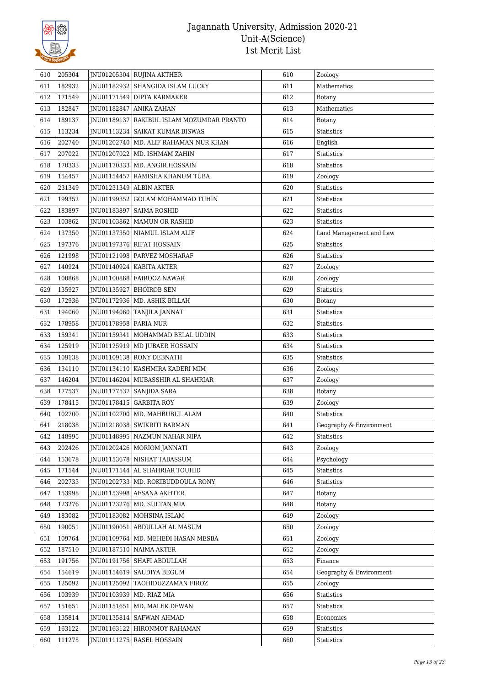

| 610<br>611<br>612<br>613<br>614<br>615<br>616<br>617 | 205304<br>182932<br>171549<br>182847<br>189137<br>113234<br>202740<br>207022 |                       | JNU01205304 RUJINA AKTHER<br>JNU01182932 SHANGIDA ISLAM LUCKY<br>JNU01171549 DIPTA KARMAKER<br>JNU01182847 ANIKA ZAHAN<br>JNU01189137 RAKIBUL ISLAM MOZUMDAR PRANTO | 610<br>611<br>612<br>613 | Zoology<br>Mathematics<br>Botany<br>Mathematics |
|------------------------------------------------------|------------------------------------------------------------------------------|-----------------------|---------------------------------------------------------------------------------------------------------------------------------------------------------------------|--------------------------|-------------------------------------------------|
|                                                      |                                                                              |                       |                                                                                                                                                                     |                          |                                                 |
|                                                      |                                                                              |                       |                                                                                                                                                                     |                          |                                                 |
|                                                      |                                                                              |                       |                                                                                                                                                                     |                          |                                                 |
|                                                      |                                                                              |                       |                                                                                                                                                                     |                          |                                                 |
|                                                      |                                                                              |                       |                                                                                                                                                                     | 614                      | <b>Botany</b>                                   |
|                                                      |                                                                              |                       | JNU01113234   SAIKAT KUMAR BISWAS                                                                                                                                   | 615                      | <b>Statistics</b>                               |
|                                                      |                                                                              |                       | JNU01202740   MD. ALIF RAHAMAN NUR KHAN                                                                                                                             | 616                      | English                                         |
|                                                      |                                                                              |                       | JNU01207022   MD. ISHMAM ZAHIN                                                                                                                                      | 617                      | <b>Statistics</b>                               |
| 618                                                  | 170333                                                                       |                       | JNU01170333   MD. ANGIR HOSSAIN                                                                                                                                     | 618                      | <b>Statistics</b>                               |
| 619                                                  | 154457                                                                       |                       | JNU01154457 RAMISHA KHANUM TUBA                                                                                                                                     | 619                      | Zoology                                         |
| 620                                                  | 231349                                                                       |                       | JNU01231349 ALBIN AKTER                                                                                                                                             | 620                      | <b>Statistics</b>                               |
| 621                                                  | 199352                                                                       |                       | JNU01199352 GOLAM MOHAMMAD TUHIN                                                                                                                                    | 621                      | <b>Statistics</b>                               |
| 622                                                  | 183897                                                                       |                       | JNU01183897 SAIMA ROSHID                                                                                                                                            | 622                      | Statistics                                      |
| 623                                                  | 103862                                                                       |                       | JNU01103862   MAMUN OR RASHID                                                                                                                                       | 623                      | <b>Statistics</b>                               |
| 624                                                  | 137350                                                                       |                       | JNU01137350   NIAMUL ISLAM ALIF                                                                                                                                     | 624                      | Land Management and Law                         |
| 625                                                  | 197376                                                                       |                       | JNU01197376 RIFAT HOSSAIN                                                                                                                                           | 625                      | <b>Statistics</b>                               |
| 626                                                  | 121998                                                                       |                       | INU01121998   PARVEZ MOSHARAF                                                                                                                                       | 626                      | <b>Statistics</b>                               |
| 627                                                  | 140924                                                                       |                       | JNU01140924   KABITA AKTER                                                                                                                                          | 627                      | Zoology                                         |
| 628                                                  | 100868                                                                       |                       | JNU01100868   FAIROOZ NAWAR                                                                                                                                         | 628                      | Zoology                                         |
| 629                                                  | 135927                                                                       |                       | JNU01135927   BHOIROB SEN                                                                                                                                           | 629                      | <b>Statistics</b>                               |
| 630                                                  | 172936                                                                       |                       | JNU01172936 MD. ASHIK BILLAH                                                                                                                                        | 630                      | <b>Botany</b>                                   |
| 631                                                  | 194060                                                                       |                       | JNU01194060   TANJILA JANNAT                                                                                                                                        | 631                      | <b>Statistics</b>                               |
| 632                                                  | 178958                                                                       | JNU01178958 FARIA NUR |                                                                                                                                                                     | 632                      | <b>Statistics</b>                               |
| 633                                                  | 159341                                                                       |                       | JNU01159341   MOHAMMAD BELAL UDDIN                                                                                                                                  | 633                      | Statistics                                      |
| 634                                                  | 125919                                                                       |                       | JNU01125919   MD JUBAER HOSSAIN                                                                                                                                     | 634                      | <b>Statistics</b>                               |
| 635                                                  | 109138                                                                       |                       | JNU01109138 RONY DEBNATH                                                                                                                                            | 635                      | Statistics                                      |
| 636                                                  | 134110                                                                       |                       | JNU01134110 KASHMIRA KADERI MIM                                                                                                                                     | 636                      | Zoology                                         |
| 637                                                  | 146204                                                                       |                       | JNU01146204   MUBASSHIR AL SHAHRIAR                                                                                                                                 | 637                      | Zoology                                         |
| 638                                                  | 177537                                                                       |                       | JNU01177537 SANJIDA SARA                                                                                                                                            | 638                      | <b>Botany</b>                                   |
| 639                                                  | 178415                                                                       |                       | INU01178415 GARBITA ROY                                                                                                                                             | 639                      | Zoology                                         |
| 640                                                  | 102700                                                                       |                       | JNU01102700 MD. MAHBUBUL ALAM                                                                                                                                       | 640                      | <b>Statistics</b>                               |
| 641                                                  | 218038                                                                       |                       | <b>INU01218038 SWIKRITI BARMAN</b>                                                                                                                                  | 641                      | Geography & Environment                         |
| 642                                                  | 148995                                                                       |                       |                                                                                                                                                                     | 642                      |                                                 |
| 643                                                  | 202426                                                                       |                       | JNU01148995   NAZMUN NAHAR NIPA<br>JNU01202426 MORIOM JANNATI                                                                                                       | 643                      | Statistics                                      |
|                                                      | 153678                                                                       |                       | INU01153678 NISHAT TABASSUM                                                                                                                                         | 644                      | Zoology<br>Psychology                           |
| 644                                                  |                                                                              |                       |                                                                                                                                                                     |                          |                                                 |
| 645                                                  | 171544                                                                       |                       | JNU01171544   AL SHAHRIAR TOUHID                                                                                                                                    | 645                      | <b>Statistics</b>                               |
| 646                                                  | 202733                                                                       |                       | JNU01202733   MD. ROKIBUDDOULA RONY                                                                                                                                 | 646                      | Statistics                                      |
| 647                                                  | 153998                                                                       |                       | JNU01153998 AFSANA AKHTER                                                                                                                                           | 647                      | Botany                                          |
| 648                                                  | 123276                                                                       |                       | JNU01123276   MD. SULTAN MIA                                                                                                                                        | 648                      | Botany                                          |
| 649                                                  | 183082                                                                       |                       | JNU01183082 MOHSINA ISLAM<br>INU01190051 ABDULLAH AL MASUM                                                                                                          | 649                      | Zoology                                         |
| 650                                                  | 190051                                                                       |                       |                                                                                                                                                                     | 650                      | Zoology                                         |
| 651                                                  | 109764                                                                       |                       | JNU01109764   MD. MEHEDI HASAN MESBA                                                                                                                                | 651                      | Zoology                                         |
| 652                                                  | 187510                                                                       |                       | JNU01187510 NAIMA AKTER                                                                                                                                             | 652                      | Zoology                                         |
| 653                                                  | 191756                                                                       |                       | JNU01191756   SHAFI ABDULLAH                                                                                                                                        | 653                      | Finance                                         |
| 654                                                  | 154619                                                                       |                       | JNU01154619   SAUDIYA BEGUM                                                                                                                                         | 654                      | Geography & Environment                         |
| 655                                                  | 125092                                                                       |                       | JNU01125092 TAOHIDUZZAMAN FIROZ                                                                                                                                     | 655                      | Zoology                                         |
| 656                                                  | 103939                                                                       |                       | JNU01103939   MD. RIAZ MIA                                                                                                                                          | 656                      | Statistics                                      |
| 657                                                  | 151651                                                                       |                       | JNU01151651   MD. MALEK DEWAN                                                                                                                                       | 657                      | Statistics                                      |
| 658                                                  | 135814                                                                       |                       | JNU01135814   SAFWAN AHMAD                                                                                                                                          | 658                      | Economics                                       |
| 659                                                  | 163122                                                                       |                       | JNU01163122 HIRONMOY RAHAMAN                                                                                                                                        | 659                      | Statistics                                      |
| 660                                                  | 111275                                                                       |                       | JNU01111275   RASEL HOSSAIN                                                                                                                                         | 660                      | Statistics                                      |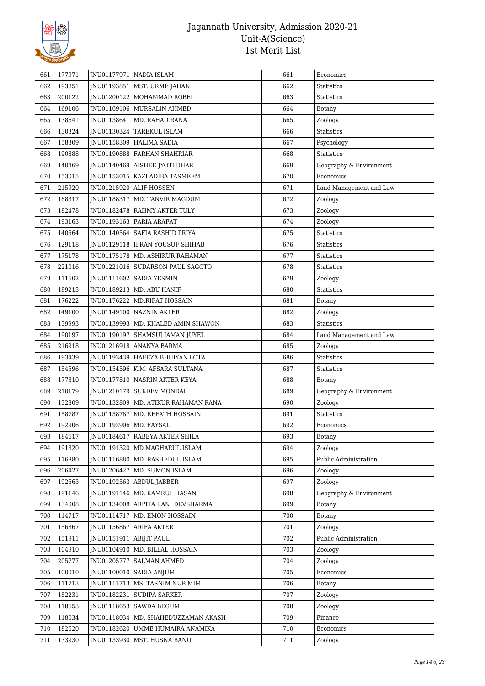

| 661 | 177971 |                           | JNU01177971 NADIA ISLAM               | 661 | Economics               |
|-----|--------|---------------------------|---------------------------------------|-----|-------------------------|
| 662 | 193851 |                           | JNU01193851   MST. URME JAHAN         | 662 | Statistics              |
| 663 | 200122 |                           | JNU01200122   MOHAMMAD ROBEL          | 663 | Statistics              |
| 664 | 169106 |                           | JNU01169106   MURSALIN AHMED          | 664 | Botany                  |
| 665 | 138641 |                           | JNU01138641   MD. RAHAD RANA          | 665 | Zoology                 |
| 666 | 130324 |                           | JNU01130324 TAREKUL ISLAM             | 666 | Statistics              |
| 667 | 158309 |                           | JNU01158309 HALIMA SADIA              | 667 | Psychology              |
| 668 | 190888 |                           | JNU01190888 FARHAN SHAHRIAR           | 668 | <b>Statistics</b>       |
| 669 | 140469 |                           | JNU01140469   AISHEE JYOTI DHAR       | 669 | Geography & Environment |
| 670 | 153015 |                           | INU01153015 KAZI ADIBA TASMEEM        | 670 | Economics               |
| 671 | 215920 |                           | INU01215920 ALIF HOSSEN               | 671 | Land Management and Law |
| 672 | 188317 |                           | JNU01188317   MD. TANVIR MAGDUM       | 672 | Zoology                 |
| 673 | 182478 |                           | JNU01182478 RAHMY AKTER TULY          | 673 | Zoology                 |
| 674 | 193163 |                           | JNU01193163 FARIA ARAFAT              | 674 | Zoology                 |
| 675 | 140564 |                           | JNU01140564   SAFIA RASHID PRIYA      | 675 | <b>Statistics</b>       |
| 676 | 129118 |                           | JNU01129118   IFRAN YOUSUF SHIHAB     | 676 | Statistics              |
| 677 | 175178 |                           | JNU01175178   MD. ASHIKUR RAHAMAN     | 677 | Statistics              |
| 678 | 221016 |                           | JNU01221016 SUDARSON PAUL SAGOTO      | 678 | <b>Statistics</b>       |
| 679 | 111602 |                           | JNU01111602   SADIA YESMIN            | 679 | Zoology                 |
| 680 | 189213 |                           | JNU01189213   MD. ABU HANIF           | 680 | Statistics              |
| 681 | 176222 |                           | JNU01176222   MD.RIFAT HOSSAIN        | 681 | Botany                  |
| 682 | 149100 |                           | JNU01149100   NAZNIN AKTER            | 682 | Zoology                 |
| 683 | 139993 |                           | JNU01139993   MD. KHALED AMIN SHAWON  | 683 | <b>Statistics</b>       |
| 684 | 190197 |                           | JNU01190197   SHAMSUJ JAMAN JUYEL     | 684 | Land Management and Law |
| 685 | 216918 |                           | JNU01216918   ANANYA BARMA            | 685 | Zoology                 |
| 686 | 193439 |                           | JNU01193439 HAFEZA BHUIYAN LOTA       | 686 | Statistics              |
| 687 | 154596 |                           | JNU01154596   K.M. AFSARA SULTANA     | 687 | Statistics              |
|     |        |                           |                                       |     |                         |
| 688 | 177810 |                           | JNU01177810 NASRIN AKTER KEYA         | 688 | <b>Botany</b>           |
| 689 | 210179 |                           | JNU01210179   SUKDEV MONDAL           | 689 | Geography & Environment |
| 690 | 132809 |                           | JNU01132809   MD. ATIKUR RAHAMAN RANA | 690 | Zoology                 |
| 691 | 158787 |                           | JNU01158787   MD. REFATH HOSSAIN      | 691 | <b>Statistics</b>       |
| 692 | 192906 | JNU01192906   MD. FAYSAL  |                                       | 692 | Economics               |
| 693 | 184617 |                           | JNU01184617 RABEYA AKTER SHILA        | 693 | <b>Botany</b>           |
| 694 | 191320 |                           | INU01191320   MD MAGHARUL ISLAM       | 694 | Zoology                 |
| 695 | 116880 |                           | JNU01116880   MD. RASHEDUL ISLAM      | 695 | Public Administration   |
| 696 | 206427 |                           | JNU01206427   MD. SUMON ISLAM         | 696 | Zoology                 |
| 697 | 192563 |                           | JNU01192563   ABDUL JABBER            | 697 | Zoology                 |
| 698 | 191146 |                           | JNU01191146   MD. KAMRUL HASAN        | 698 | Geography & Environment |
| 699 | 134008 |                           | JNU01134008 ARPITA RANI DEVSHARMA     | 699 | Botany                  |
| 700 | 114717 |                           | JNU01114717 MD. EMON HOSSAIN          | 700 | Botany                  |
| 701 | 156867 |                           | JNU01156867   ARIFA AKTER             | 701 | Zoology                 |
| 702 | 151911 | JNU01151911   ABIJIT PAUL |                                       | 702 | Public Administration   |
| 703 | 104910 |                           | JNU01104910   MD. BILLAL HOSSAIN      | 703 | Zoology                 |
| 704 | 205777 |                           | JNU01205777   SALMAN AHMED            | 704 | Zoology                 |
| 705 | 100010 |                           | JNU01100010   SADIA ANJUM             | 705 | Economics               |
| 706 | 111713 |                           | JNU01111713   MS. TASNIM NUR MIM      | 706 | Botany                  |
| 707 | 182231 |                           | JNU01182231 SUDIPA SARKER             | 707 | Zoology                 |
| 708 | 118653 |                           | JNU01118653   SAWDA BEGUM             | 708 | Zoology                 |
| 709 | 118034 |                           | JNU01118034   MD. SHAHEDUZZAMAN AKASH | 709 | Finance                 |
| 710 | 182620 |                           | JNU01182620 UMME HUMAIRA ANAMIKA      | 710 | Economics               |
| 711 | 133930 |                           | JNU01133930   MST. HUSNA BANU         | 711 | Zoology                 |
|     |        |                           |                                       |     |                         |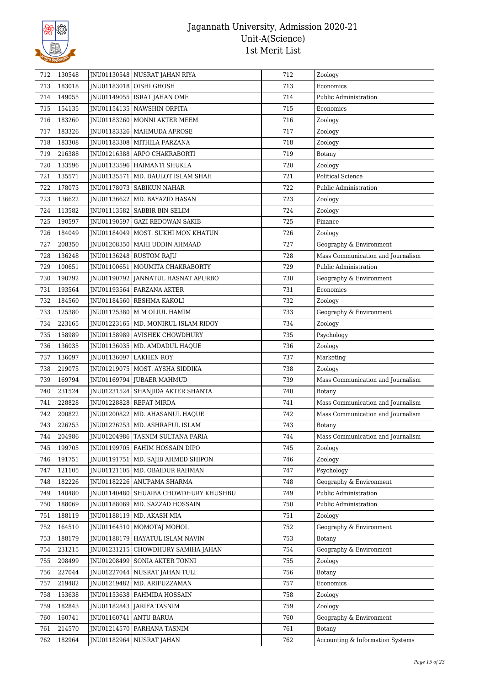

| 712 | 130548 | JNU01130548 NUSRAT JAHAN RIYA           | 712 | Zoology                           |
|-----|--------|-----------------------------------------|-----|-----------------------------------|
| 713 | 183018 | JNU01183018 OISHI GHOSH                 | 713 | Economics                         |
| 714 | 149055 | JNU01149055   ISRAT JAHAN OME           | 714 | Public Administration             |
| 715 | 154135 | JNU01154135 NAWSHIN ORPITA              | 715 | Economics                         |
| 716 | 183260 | JNU01183260   MONNI AKTER MEEM          | 716 | Zoology                           |
| 717 | 183326 | JNU01183326   MAHMUDA AFROSE            | 717 | Zoology                           |
| 718 | 183308 | JNU01183308   MITHILA FARZANA           | 718 | Zoology                           |
| 719 | 216388 | JNU01216388 ARPO CHAKRABORTI            | 719 | Botany                            |
| 720 | 133596 | JNU01133596 HAIMANTI SHUKLA             | 720 | Zoology                           |
| 721 | 135571 | JNU01135571   MD. DAULOT ISLAM SHAH     | 721 | <b>Political Science</b>          |
| 722 | 178073 | JNU01178073 SABIKUN NAHAR               | 722 | Public Administration             |
| 723 | 136622 | JNU01136622   MD. BAYAZID HASAN         | 723 | Zoology                           |
| 724 | 113582 | JNU01113582   SABBIR BIN SELIM          | 724 | Zoology                           |
| 725 | 190597 | JNU01190597 GAZI REDOWAN SAKIB          | 725 | Finance                           |
| 726 | 184049 | JNU01184049 MOST. SUKHI MON KHATUN      | 726 | Zoology                           |
| 727 | 208350 | JNU01208350   MAHI UDDIN AHMAAD         | 727 | Geography & Environment           |
| 728 | 136248 | INU01136248 RUSTOM RAJU                 | 728 | Mass Communication and Journalism |
| 729 | 100651 | INU01100651   MOUMITA CHAKRABORTY       | 729 | Public Administration             |
| 730 | 190792 | JNU01190792 JANNATUL HASNAT APURBO      | 730 | Geography & Environment           |
| 731 | 193564 | INU01193564 FARZANA AKTER               | 731 | Economics                         |
| 732 | 184560 | JNU01184560 RESHMA KAKOLI               | 732 | Zoology                           |
| 733 | 125380 | JNU01125380   M M OLIUL HAMIM           | 733 | Geography & Environment           |
| 734 | 223165 | JNU01223165   MD. MONIRUL ISLAM RIDOY   | 734 | Zoology                           |
| 735 | 158989 | JNU01158989 AVISHEK CHOWDHURY           | 735 | Psychology                        |
| 736 | 136035 | JNU01136035   MD. AMDADUL HAQUE         | 736 | Zoology                           |
| 737 | 136097 | JNU01136097 LAKHEN ROY                  | 737 | Marketing                         |
| 738 | 219075 | JNU01219075   MOST. AYSHA SIDDIKA       | 738 | Zoology                           |
| 739 | 169794 | JNU01169794 JUBAER MAHMUD               | 739 | Mass Communication and Journalism |
| 740 | 231524 | JNU01231524   SHANJIDA AKTER SHANTA     | 740 | Botany                            |
| 741 | 228828 | JNU01228828 REFAT MIRDA                 | 741 | Mass Communication and Journalism |
| 742 | 200822 | JNU01200822 MD. AHASANUL HAQUE          | 742 | Mass Communication and Journalism |
| 743 | 226253 | JNU01226253   MD. ASHRAFUL ISLAM        | 743 | Botany                            |
| 744 | 204986 | JNU01204986   TASNIM SULTANA FARIA      | 744 | Mass Communication and Journalism |
| 745 | 199705 | JNU01199705   FAHIM HOSSAIN DIPO        | 745 | Zoology                           |
| 746 | 191751 | JNU01191751   MD. SAJIB AHMED SHIPON    | 746 | Zoology                           |
| 747 | 121105 | JNU01121105   MD. OBAIDUR RAHMAN        | 747 | Psychology                        |
| 748 | 182226 | JNU01182226 ANUPAMA SHARMA              | 748 | Geography & Environment           |
| 749 | 140480 | JNU01140480   SHUAIBA CHOWDHURY KHUSHBU | 749 | Public Administration             |
| 750 | 188069 | JNU01188069   MD. SAZZAD HOSSAIN        | 750 | Public Administration             |
| 751 | 188119 | JNU01188119 MD. AKASH MIA               | 751 | Zoology                           |
| 752 | 164510 | INU01164510 MOMOTAJ MOHOL               | 752 | Geography & Environment           |
| 753 | 188179 | JNU01188179 HAYATUL ISLAM NAVIN         | 753 | Botany                            |
| 754 | 231215 | JNU01231215 CHOWDHURY SAMIHA JAHAN      | 754 | Geography & Environment           |
| 755 | 208499 | JNU01208499 SONIA AKTER TONNI           | 755 | Zoology                           |
| 756 | 227044 | JNU01227044 NUSRAT JAHAN TULI           | 756 | Botany                            |
| 757 | 219482 | JNU01219482   MD. ARIFUZZAMAN           | 757 | Economics                         |
| 758 | 153638 | JNU01153638   FAHMIDA HOSSAIN           | 758 | Zoology                           |
| 759 | 182843 | JNU01182843   JARIFA TASNIM             | 759 | Zoology                           |
| 760 | 160741 | JNU01160741   ANTU BARUA                | 760 | Geography & Environment           |
| 761 | 214570 | JNU01214570 FARHANA TASNIM              | 761 | <b>Botany</b>                     |
| 762 | 182964 | JNU01182964   NUSRAT JAHAN              | 762 | Accounting & Information Systems  |
|     |        |                                         |     |                                   |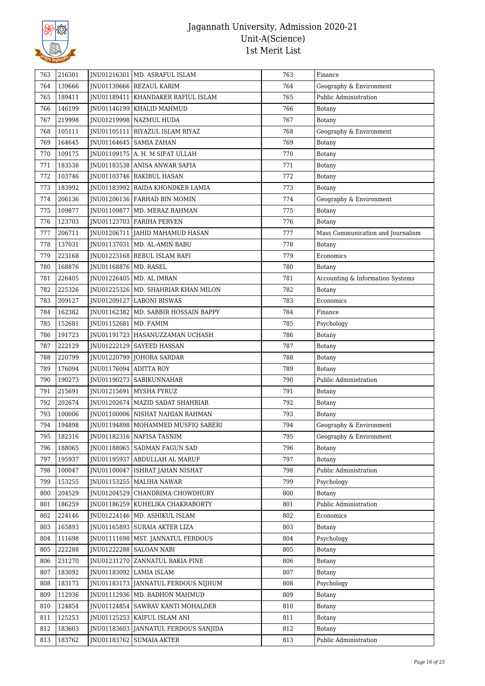

| 763 | 216301 |                         | JNU01216301   MD. ASRAFUL ISLAM        | 763 | Finance                           |
|-----|--------|-------------------------|----------------------------------------|-----|-----------------------------------|
| 764 | 139666 |                         | JNU01139666 REZAUL KARIM               | 764 | Geography & Environment           |
| 765 | 189411 |                         | INU01189411   KHANDAKER RAFIUL ISLAM   | 765 | Public Administration             |
| 766 | 146199 |                         | JNU01146199   KHALID MAHMUD            | 766 | Botany                            |
| 767 | 219998 |                         | JNU01219998 NAZMUL HUDA                | 767 | Botany                            |
| 768 | 105111 |                         | JNU01105111   RIYAZUL ISLAM RIYAZ      | 768 | Geography & Environment           |
| 769 | 164645 |                         | JNU01164645   SAMIA ZAHAN              | 769 | Botany                            |
| 770 | 109175 |                         | JNU01109175   A. H. M SIFAT ULLAH      | 770 | <b>Botany</b>                     |
| 771 | 183538 |                         | JNU01183538 ANISA ANWAR SAFIA          | 771 | Botany                            |
| 772 | 103746 |                         | JNU01103746 RAKIBUL HASAN              | 772 | Botany                            |
| 773 | 183992 |                         | JNU01183992   RAIDA KHONDKER LAMIA     | 773 | Botany                            |
| 774 | 206136 |                         | JNU01206136 FARHAD BIN MOMIN           | 774 | Geography & Environment           |
| 775 | 109877 |                         | JNU01109877   MD. MERAZ RAHMAN         | 775 | Botany                            |
| 776 | 123703 |                         | JNU01123703   FARIHA PERVEN            | 776 | Botany                            |
| 777 | 206711 |                         | JNU01206711 JAHID MAHAMUD HASAN        | 777 | Mass Communication and Journalism |
| 778 | 137031 |                         | JNU01137031   MD. AL-AMIN BABU         | 778 | Botany                            |
| 779 | 223168 |                         | INU01223168 REBUL ISLAM RAFI           | 779 | Economics                         |
| 780 | 168876 | JNU01168876   MD. RASEL |                                        | 780 | Botany                            |
| 781 | 226405 |                         | JNU01226405   MD. AL IMRAN             | 781 | Accounting & Information Systems  |
| 782 | 225326 |                         | JNU01225326   MD. SHAHRIAR KHAN MILON  | 782 | <b>Botany</b>                     |
| 783 | 209127 |                         | JNU01209127 LABONI BISWAS              | 783 | Economics                         |
| 784 | 162382 |                         | JNU01162382   MD. SABBIR HOSSAIN BAPPY | 784 | Finance                           |
| 785 | 152681 | JNU01152681   MD. FAMIM |                                        | 785 | Psychology                        |
| 786 | 191723 |                         | JNU01191723   HASANUZZAMAN UCHASH      | 786 | <b>Botany</b>                     |
| 787 | 222129 |                         | JNU01222129 SAYEED HASSAN              | 787 | <b>Botany</b>                     |
| 788 | 220799 |                         | JNU01220799 JOHORA SARDAR              | 788 | <b>Botany</b>                     |
| 789 | 176094 | JNU01176094 ADITTA ROY  |                                        | 789 | <b>Botany</b>                     |
| 790 | 190273 |                         | JNU01190273   SABIKUNNAHAR             | 790 | Public Administration             |
| 791 | 215691 | JNU01215691             | l MYSHA FYRUZ                          | 791 | Botany                            |
| 792 | 202674 |                         | JNU01202674   MAZID SADAT SHAHRIAR     | 792 | Botany                            |
| 793 | 100006 |                         | JNU01100006 NISHAT NAHIAN RAHMAN       | 793 | Botany                            |
| 794 | 194898 |                         | JNU01194898   MOHAMMED MUSFIQ SABERI   | 794 | Geography & Environment           |
| 795 | 182316 |                         | JNU01182316 NAFISA TASNIM              | 795 | Geography & Environment           |
| 796 | 188065 |                         | INU01188065 SADMAN FAGUN SAD           | 796 | Botany                            |
| 797 | 195937 |                         | JNU01195937 ABDULLAH AL MARUF          | 797 | Botany                            |
| 798 | 100047 |                         | JNU01100047   ISHRAT JAHAN NISHAT      | 798 | Public Administration             |
| 799 | 153255 |                         | JNU01153255   MALIHA NAWAR             | 799 | Psychology                        |
| 800 | 204529 |                         | JNU01204529 CHANDRIMA CHOWDHURY        | 800 | Botany                            |
| 801 | 186259 |                         | JNU01186259 KUHELIKA CHAKRABORTY       | 801 | Public Administration             |
| 802 | 224146 |                         | JNU01224146 MD. ASHIKUL ISLAM          | 802 | Economics                         |
| 803 | 165893 |                         | JNU01165893   SURAIA AKTER LIZA        | 803 | Botany                            |
| 804 | 111698 |                         | JNU01111698   MST. JANNATUL FERDOUS    | 804 | Psychology                        |
| 805 | 222288 |                         | JNU01222288 SALOAN NABI                | 805 | Botany                            |
| 806 | 231270 |                         | JNU01231270 ZANNATUL BAKIA PINE        | 806 | <b>Botany</b>                     |
| 807 | 183092 |                         | JNU01183092 LAMIA ISLAM                | 807 | Botany                            |
| 808 | 183173 |                         | JNU01183173 JANNATUL FERDOUS NIJHUM    | 808 | Psychology                        |
| 809 | 112936 |                         | JNU01112936   MD. BADHON MAHMUD        | 809 | <b>Botany</b>                     |
| 810 | 124854 |                         | JNU01124854   SAWRAV KANTI MOHALDER    | 810 | Botany                            |
| 811 | 125253 |                         | JNU01125253   KAIFUL ISLAM ANI         | 811 | Botany                            |
| 812 | 183603 |                         | JNU01183603 JANNATUL FERDOUS SANJIDA   | 812 | <b>Botany</b>                     |
| 813 | 183762 | JNU01183762             | <b>SUMAIA AKTER</b>                    | 813 | Public Administration             |
|     |        |                         |                                        |     |                                   |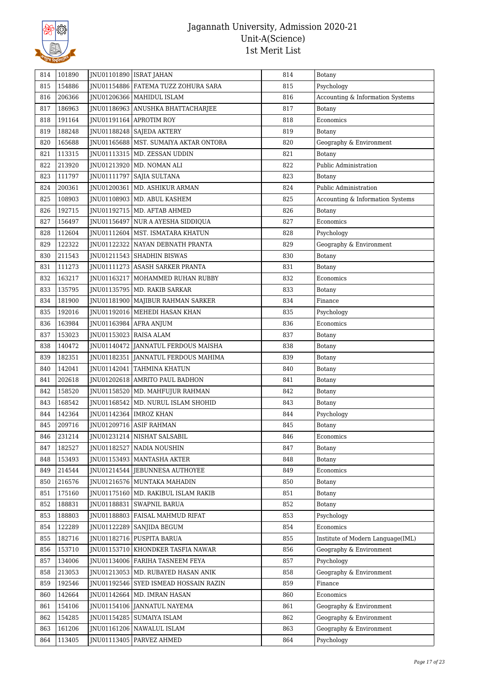

| 814 | 101890 | JNU01101890   ISRAT JAHAN |                                         | 814 | Botany                            |
|-----|--------|---------------------------|-----------------------------------------|-----|-----------------------------------|
| 815 | 154886 |                           | JNU01154886   FATEMA TUZZ ZOHURA SARA   | 815 | Psychology                        |
| 816 | 206366 |                           | JNU01206366   MAHIDUL ISLAM             | 816 | Accounting & Information Systems  |
| 817 | 186963 |                           | JNU01186963 ANUSHKA BHATTACHARJEE       | 817 | Botany                            |
| 818 | 191164 | JNU01191164               | <b>APROTIM ROY</b>                      | 818 | Economics                         |
| 819 | 188248 |                           | JNU01188248   SAJEDA AKTERY             | 819 | Botany                            |
| 820 | 165688 |                           | JNU01165688   MST. SUMAIYA AKTAR ONTORA | 820 | Geography & Environment           |
| 821 | 113315 |                           | JNU01113315   MD. ZESSAN UDDIN          | 821 | Botany                            |
| 822 | 213920 |                           | JNU01213920   MD. NOMAN ALI             | 822 | Public Administration             |
| 823 | 111797 | JNU01111797               | <b>SAJIA SULTANA</b>                    | 823 | Botany                            |
| 824 | 200361 |                           | JNU01200361   MD. ASHIKUR ARMAN         | 824 | Public Administration             |
| 825 | 108903 |                           | JNU01108903   MD. ABUL KASHEM           | 825 | Accounting & Information Systems  |
| 826 | 192715 |                           | JNU01192715   MD. AFTAB AHMED           | 826 | Botany                            |
| 827 | 156497 |                           | JNU01156497 NUR A AYESHA SIDDIQUA       | 827 | Economics                         |
| 828 | 112604 |                           | JNU01112604   MST. ISMATARA KHATUN      | 828 | Psychology                        |
| 829 | 122322 | JNU01122322               | NAYAN DEBNATH PRANTA                    | 829 | Geography & Environment           |
| 830 | 211543 |                           | JNU01211543 SHADHIN BISWAS              | 830 | Botany                            |
| 831 | 111273 |                           | <b>INU01111273 ASASH SARKER PRANTA</b>  | 831 | Botany                            |
| 832 | 163217 |                           | JNU01163217   MOHAMMED RUHAN RUBBY      | 832 | Economics                         |
| 833 | 135795 |                           | JNU01135795   MD. RAKIB SARKAR          | 833 | Botany                            |
| 834 | 181900 |                           | JNU01181900   MAJIBUR RAHMAN SARKER     | 834 | Finance                           |
| 835 | 192016 |                           | JNU01192016   MEHEDI HASAN KHAN         | 835 | Psychology                        |
| 836 | 163984 |                           | JNU01163984   AFRA ANJUM                | 836 | Economics                         |
| 837 | 153023 | JNU01153023 RAISA ALAM    |                                         | 837 | Botany                            |
| 838 | 140472 |                           | JNU01140472 JANNATUL FERDOUS MAISHA     | 838 | Botany                            |
| 839 | 182351 |                           | JNU01182351   JANNATUL FERDOUS MAHIMA   | 839 | Botany                            |
| 840 | 142041 |                           | JNU01142041   TAHMINA KHATUN            | 840 | Botany                            |
| 841 | 202618 |                           | JNU01202618 AMRITO PAUL BADHON          | 841 | Botany                            |
| 842 | 158520 |                           | JNU01158520   MD. MAHFUJUR RAHMAN       | 842 | Botany                            |
| 843 | 168542 |                           | JNU01168542   MD. NURUL ISLAM SHOHID    | 843 | Botany                            |
| 844 | 142364 |                           | JNU01142364   IMROZ KHAN                | 844 | Psychology                        |
| 845 | 209716 |                           | JNU01209716 ASIF RAHMAN                 | 845 | Botany                            |
| 846 | 231214 |                           | JNU01231214 NISHAT SALSABIL             | 846 | Economics                         |
| 847 | 182527 |                           | JNU01182527 NADIA NOUSHIN               | 847 | Botany                            |
| 848 | 153493 |                           | JNU01153493   MANTASHA AKTER            | 848 | Botany                            |
| 849 | 214544 |                           | JNU01214544 JEBUNNESA AUTHOYEE          | 849 | Economics                         |
| 850 | 216576 |                           | JNU01216576   MUNTAKA MAHADIN           | 850 | Botany                            |
| 851 | 175160 |                           | JNU01175160   MD. RAKIBUL ISLAM RAKIB   | 851 | Botany                            |
| 852 | 188831 | JNU01188831               | <b>SWAPNIL BARUA</b>                    | 852 | Botany                            |
| 853 | 188803 | JNU01188803               | FAISAL MAHMUD RIFAT                     | 853 | Psychology                        |
| 854 | 122289 |                           | JNU01122289   SANJIDA BEGUM             | 854 | Economics                         |
| 855 | 182716 |                           | JNU01182716 PUSPITA BARUA               | 855 | Institute of Modern Language(IML) |
| 856 | 153710 |                           | JNU01153710   KHONDKER TASFIA NAWAR     | 856 | Geography & Environment           |
| 857 | 134006 |                           | JNU01134006   FARIHA TASNEEM FEYA       | 857 | Psychology                        |
| 858 | 213053 |                           | JNU01213053   MD. RUBAYED HASAN ANIK    | 858 | Geography & Environment           |
| 859 | 192546 |                           | JNU01192546 SYED ISMEAD HOSSAIN RAZIN   | 859 | Finance                           |
| 860 | 142664 |                           | JNU01142664   MD. IMRAN HASAN           | 860 | Economics                         |
| 861 | 154106 |                           | JNU01154106 JANNATUL NAYEMA             | 861 | Geography & Environment           |
| 862 | 154285 |                           | JNU01154285   SUMAIYA ISLAM             | 862 | Geography & Environment           |
| 863 | 161206 |                           | JNU01161206 NAWALUL ISLAM               | 863 | Geography & Environment           |
| 864 | 113405 | JNU01113405               | PARVEZ AHMED                            | 864 | Psychology                        |
|     |        |                           |                                         |     |                                   |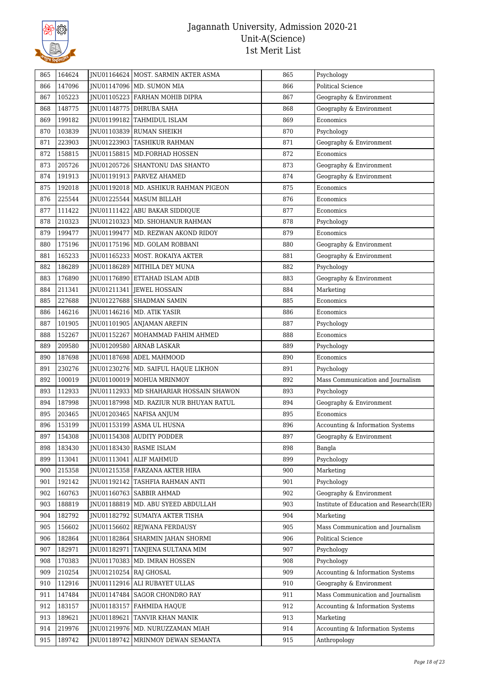

| 865        | 164624           |             | INU01164624   MOST. SARMIN AKTER ASMA                     | 865        | Psychology                                     |
|------------|------------------|-------------|-----------------------------------------------------------|------------|------------------------------------------------|
| 866        | 147096           |             | JNU01147096   MD. SUMON MIA                               | 866        | <b>Political Science</b>                       |
| 867        | 105223           |             | JNU01105223 FARHAN MOHIB DIPRA                            | 867        | Geography & Environment                        |
| 868        | 148775           |             | JNU01148775 DHRUBA SAHA                                   | 868        | Geography & Environment                        |
| 869        | 199182           |             | JNU01199182 TAHMIDUL ISLAM                                | 869        | Economics                                      |
| 870        | 103839           |             | JNU01103839 RUMAN SHEIKH                                  | 870        | Psychology                                     |
| 871        | 223903           |             | JNU01223903 TASHIKUR RAHMAN                               | 871        | Geography & Environment                        |
| 872        | 158815           |             | JNU01158815   MD.FORHAD HOSSEN                            | 872        | Economics                                      |
| 873        | 205726           |             | JNU01205726 SHANTONU DAS SHANTO                           | 873        | Geography & Environment                        |
| 874        | 191913           |             | JNU01191913   PARVEZ AHAMED                               | 874        | Geography & Environment                        |
| 875        | 192018           |             | JNU01192018   MD. ASHIKUR RAHMAN PIGEON                   | 875        | Economics                                      |
| 876        | 225544           |             | JNU01225544   MASUM BILLAH                                | 876        | Economics                                      |
| 877        | 111422           |             | JNU01111422 ABU BAKAR SIDDIQUE                            | 877        | Economics                                      |
| 878        | 210323           |             | JNU01210323   MD. SHOHANUR RAHMAN                         | 878        | Psychology                                     |
| 879        | 199477           |             | JNU01199477   MD. REZWAN AKOND RIDOY                      | 879        | Economics                                      |
| 880        | 175196           |             | JNU01175196   MD. GOLAM ROBBANI                           | 880        | Geography & Environment                        |
| 881        | 165233           |             | INU01165233 MOST. ROKAIYA AKTER                           | 881        | Geography & Environment                        |
| 882        | 186289           |             | JNU01186289   MITHILA DEY MUNA                            | 882        | Psychology                                     |
| 883        | 176890           |             | JNU01176890 ETTAHAD ISLAM ADIB                            | 883        | Geography & Environment                        |
| 884        | 211341           |             | JNU01211341 JEWEL HOSSAIN                                 | 884        | Marketing                                      |
| 885        | 227688           |             | JNU01227688 SHADMAN SAMIN                                 | 885        | Economics                                      |
| 886        | 146216           |             | JNU01146216   MD. ATIK YASIR                              | 886        | Economics                                      |
| 887        | 101905           |             | JNU01101905 ANJAMAN AREFIN                                | 887        | Psychology                                     |
| 888        | 152267           |             | JNU01152267   MOHAMMAD FAHIM AHMED                        | 888        | Economics                                      |
| 889        | 209580           |             | JNU01209580 ARNAB LASKAR                                  | 889        | Psychology                                     |
| 890        | 187698           |             | JNU01187698 ADEL MAHMOOD                                  | 890        | Economics                                      |
| 891        | 230276           |             | JNU01230276   MD. SAIFUL HAQUE LIKHON                     | 891        | Psychology                                     |
| 892        | 100019           |             | JNU01100019   MOHUA MRINMOY                               | 892        | Mass Communication and Journalism              |
| 893        | 112933           |             | INU01112933 MD SHAHARIAR HOSSAIN SHAWON                   | 893        | Psychology                                     |
| 894        | 187998           |             | JNU01187998   MD. RAZIUR NUR BHUYAN RATUL                 | 894        | Geography & Environment                        |
| 895        | 203465           |             | JNU01203465   NAFISA ANJUM                                | 895        | Economics                                      |
| 896        | 153199           |             | JNU01153199 ASMA UL HUSNA                                 | 896        | Accounting & Information Systems               |
| 897        | 154308           |             | JNU01154308 AUDITY PODDER                                 | 897        | Geography & Environment                        |
| 898        | 183430           |             | JNU01183430 RASME ISLAM                                   | 898        | Bangla                                         |
| 899        | 113041           |             | JNU01113041   ALIF MAHMUD                                 | 899        | Psychology                                     |
| 900        | 215358           |             | JNU01215358 FARZANA AKTER HIRA                            | 900        | Marketing                                      |
| 901        | 192142           |             | INU01192142 TASHFIA RAHMAN ANTI                           | 901        | Psychology                                     |
| 902        | 160763           |             | JNU01160763   SABBIR AHMAD                                | 902        | Geography & Environment                        |
| 903        | 188819           |             | JNU01188819   MD. ABU SYEED ABDULLAH                      | 903        | Institute of Education and Research(IER)       |
| 904        | 182792           |             | JNU01182792   SUMAIYA AKTER TISHA                         | 904        | Marketing                                      |
| 905        | 156602           |             | JNU01156602 REJWANA FERDAUSY                              | 905        | Mass Communication and Journalism              |
| 906        | 182864           |             |                                                           | 906        | Political Science                              |
| 907        | 182971           |             | JNU01182864   SHARMIN JAHAN SHORMI<br>TANJENA SULTANA MIM | 907        | Psychology                                     |
|            |                  | JNU01182971 |                                                           |            |                                                |
| 908<br>909 | 170383<br>210254 | JNU01210254 | JNU01170383   MD. IMRAN HOSSEN<br><b>RAJ GHOSAL</b>       | 908<br>909 | Psychology<br>Accounting & Information Systems |
|            |                  |             |                                                           |            |                                                |
| 910        | 112916           |             | JNU01112916 ALI RUBAYET ULLAS                             | 910        | Geography & Environment                        |
| 911        | 147484           |             | JNU01147484   SAGOR CHONDRO RAY                           | 911        | Mass Communication and Journalism              |
| 912        | 183157           |             | JNU01183157 FAHMIDA HAQUE                                 | 912        | Accounting & Information Systems               |
| 913        | 189621           | JNU01189621 | TANVIR KHAN MANIK                                         | 913        | Marketing                                      |
| 914        | 219976           |             | JNU01219976   MD. NURUZZAMAN MIAH                         | 914        | Accounting & Information Systems               |
| 915        | 189742           |             | JNU01189742   MRINMOY DEWAN SEMANTA                       | 915        | Anthropology                                   |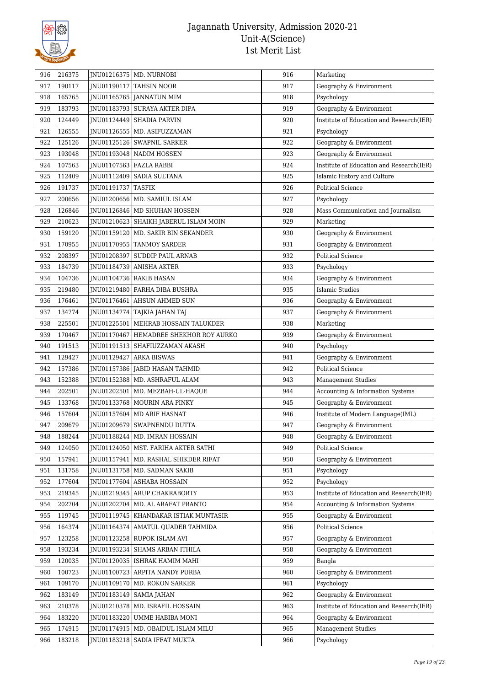

| 190117<br>Geography & Environment<br>917<br>JNU01190117 TAHSIN NOOR<br>917<br>165765<br>918<br>JNU01165765 JANNATUN MIM<br>918<br>Psychology<br>183793<br>919<br>JNU01183793   SURAYA AKTER DIPA<br>919<br>Geography & Environment<br>124449<br>920<br>JNU01124449 SHADIA PARVIN<br>920<br>Institute of Education and Research(IER)<br>126555<br>JNU01126555   MD. ASIFUZZAMAN<br>921<br>Psychology<br>921<br>125126<br>922<br>JNU01125126 SWAPNIL SARKER<br>922<br>Geography & Environment<br>193048<br>923<br>923<br>JNU01193048   NADIM HOSSEN<br>Geography & Environment<br>107563<br>924<br>Institute of Education and Research(IER)<br>924<br>JNU01107563 FAZLA RABBI<br>925<br>112409<br>925<br>Islamic History and Culture<br>INU01112409   SADIA SULTANA<br>191737<br>JNU01191737 TASFIK<br><b>Political Science</b><br>926<br>926<br>200656<br>927<br>927<br>JNU01200656   MD. SAMIUL ISLAM<br>Psychology<br>126846<br>Mass Communication and Journalism<br>JNU01126846   MD SHUHAN HOSSEN<br>928<br>928<br>210623<br>929<br>JNU01210623   SHAIKH JABERUL ISLAM MOIN<br>929<br>Marketing<br>159120<br>Geography & Environment<br>930<br>JNU01159120   MD. SAKIR BIN SEKANDER<br>930<br>170955<br>931<br>931<br>Geography & Environment<br>JNU01170955   TANMOY SARDER<br>208397<br>932<br>JNU01208397<br>SUDDIP PAUL ARNAB<br>932<br><b>Political Science</b><br>184739<br>933<br>JNU01184739 ANISHA AKTER<br>933<br>Psychology<br>934<br>104736<br>JNU01104736 RAKIB HASAN<br>934<br>Geography & Environment<br>219480<br>935<br>935<br>Islamic Studies<br>JNU01219480 FARHA DIBA BUSHRA<br>176461<br>INU01176461 AHSUN AHMED SUN<br>936<br>Geography & Environment<br>936<br>134774<br>937<br>937<br>JNU01134774   TAJKIA JAHAN TAJ<br>Geography & Environment<br>938<br>225501<br>JNU01225501   MEHRAB HOSSAIN TALUKDER<br>938<br>Marketing<br>170467<br>939<br>939<br>JNU01170467 HEMADREE SHEKHOR ROY AURKO<br>Geography & Environment<br>191513<br>JNU01191513   SHAFIUZZAMAN AKASH<br>940<br>Psychology<br>940<br>941<br>129427<br>JNU01129427 ARKA BISWAS<br>941<br>Geography & Environment<br>157386<br>942<br><b>Political Science</b><br>942<br>JNU01157386 JABID HASAN TAHMID<br>152388<br>943<br>943<br>JNU01152388   MD. ASHRAFUL ALAM<br><b>Management Studies</b><br>944<br>202501<br>944<br>Accounting & Information Systems<br>INU01202501<br>MD. MEZBAH-UL-HAQUE<br>133768<br>945<br>JNU01133768   MOURIN ARA PINKY<br>945<br>Geography & Environment<br>157604<br>946<br>JNU01157604   MD ARIF HASNAT<br>946<br>Institute of Modern Language(IML)<br>947<br>209679<br>JNU01209679   SWAPNENDU DUTTA<br>947<br>Geography & Environment<br>948<br>188244<br>Geography & Environment<br>948<br>JNU01188244   MD. IMRAN HOSSAIN<br>949<br>124050<br>INU01124050   MST. FARIHA AKTER SATHI<br>949<br><b>Political Science</b><br>157941<br>950<br>JNU01157941   MD. RASHAL SHIKDER RIFAT<br>Geography & Environment<br>950<br>131758<br>JNU01131758   MD. SADMAN SAKIB<br>951<br>Psychology<br>951<br>177604<br>952<br>JNU01177604 ASHABA HOSSAIN<br>952<br>Psychology<br>219345<br>JNU01219345 ARUP CHAKRABORTY<br>953<br>Institute of Education and Research(IER)<br>953<br>954<br>202704<br>JNU01202704   MD. AL ARAFAT PRANTO<br>954<br>Accounting & Information Systems<br>119745<br><b>INU01119745   KHANDAKAR ISTIAK MUNTASIR</b><br>955<br>Geography & Environment<br>955<br>164374<br>Political Science<br>JNU01164374   AMATUL QUADER TAHMIDA<br>956<br>956<br>123258<br>JNU01123258 RUPOK ISLAM AVI<br>957<br>Geography & Environment<br>957<br>193234<br>958<br>JNU01193234 SHAMS ARBAN ITHILA<br>958<br>Geography & Environment<br>120035<br>959<br>JNU01120035   ISHRAK HAMIM MAHI<br>959<br>Bangla<br>100723<br>JNU01100723 ARPITA NANDY PURBA<br>960<br>Geography & Environment<br>960<br>109170<br>961<br>JNU01109170   MD. ROKON SARKER<br>961<br>Psychology<br>183149<br>962<br>JNU01183149   SAMIA JAHAN<br>962<br>Geography & Environment<br>210378<br>Institute of Education and Research(IER)<br>JNU01210378   MD. ISRAFIL HOSSAIN<br>963<br>963<br>183220<br>JNU01183220<br>UMME HABIBA MONI<br>964<br>Geography & Environment<br>964<br>174915<br>965<br>JNU01174915   MD. OBAIDUL ISLAM MILU<br>965<br><b>Management Studies</b><br>183218<br>JNU01183218   SADIA IFFAT MUKTA<br>966<br>Psychology<br>966 | 916 | 216375 | JNU01216375   MD. NURNOBI | 916 | Marketing |
|--------------------------------------------------------------------------------------------------------------------------------------------------------------------------------------------------------------------------------------------------------------------------------------------------------------------------------------------------------------------------------------------------------------------------------------------------------------------------------------------------------------------------------------------------------------------------------------------------------------------------------------------------------------------------------------------------------------------------------------------------------------------------------------------------------------------------------------------------------------------------------------------------------------------------------------------------------------------------------------------------------------------------------------------------------------------------------------------------------------------------------------------------------------------------------------------------------------------------------------------------------------------------------------------------------------------------------------------------------------------------------------------------------------------------------------------------------------------------------------------------------------------------------------------------------------------------------------------------------------------------------------------------------------------------------------------------------------------------------------------------------------------------------------------------------------------------------------------------------------------------------------------------------------------------------------------------------------------------------------------------------------------------------------------------------------------------------------------------------------------------------------------------------------------------------------------------------------------------------------------------------------------------------------------------------------------------------------------------------------------------------------------------------------------------------------------------------------------------------------------------------------------------------------------------------------------------------------------------------------------------------------------------------------------------------------------------------------------------------------------------------------------------------------------------------------------------------------------------------------------------------------------------------------------------------------------------------------------------------------------------------------------------------------------------------------------------------------------------------------------------------------------------------------------------------------------------------------------------------------------------------------------------------------------------------------------------------------------------------------------------------------------------------------------------------------------------------------------------------------------------------------------------------------------------------------------------------------------------------------------------------------------------------------------------------------------------------------------------------------------------------------------------------------------------------------------------------------------------------------------------------------------------------------------------------------------------------------------------------------------------------------------------------------------------------------------------------------------------------------------------------------------------------------------------------------------------------------------------------------------------------------------------------------------------------------------------------------------------------------|-----|--------|---------------------------|-----|-----------|
|                                                                                                                                                                                                                                                                                                                                                                                                                                                                                                                                                                                                                                                                                                                                                                                                                                                                                                                                                                                                                                                                                                                                                                                                                                                                                                                                                                                                                                                                                                                                                                                                                                                                                                                                                                                                                                                                                                                                                                                                                                                                                                                                                                                                                                                                                                                                                                                                                                                                                                                                                                                                                                                                                                                                                                                                                                                                                                                                                                                                                                                                                                                                                                                                                                                                                                                                                                                                                                                                                                                                                                                                                                                                                                                                                                                                                                                                                                                                                                                                                                                                                                                                                                                                                                                                                                                                                              |     |        |                           |     |           |
|                                                                                                                                                                                                                                                                                                                                                                                                                                                                                                                                                                                                                                                                                                                                                                                                                                                                                                                                                                                                                                                                                                                                                                                                                                                                                                                                                                                                                                                                                                                                                                                                                                                                                                                                                                                                                                                                                                                                                                                                                                                                                                                                                                                                                                                                                                                                                                                                                                                                                                                                                                                                                                                                                                                                                                                                                                                                                                                                                                                                                                                                                                                                                                                                                                                                                                                                                                                                                                                                                                                                                                                                                                                                                                                                                                                                                                                                                                                                                                                                                                                                                                                                                                                                                                                                                                                                                              |     |        |                           |     |           |
|                                                                                                                                                                                                                                                                                                                                                                                                                                                                                                                                                                                                                                                                                                                                                                                                                                                                                                                                                                                                                                                                                                                                                                                                                                                                                                                                                                                                                                                                                                                                                                                                                                                                                                                                                                                                                                                                                                                                                                                                                                                                                                                                                                                                                                                                                                                                                                                                                                                                                                                                                                                                                                                                                                                                                                                                                                                                                                                                                                                                                                                                                                                                                                                                                                                                                                                                                                                                                                                                                                                                                                                                                                                                                                                                                                                                                                                                                                                                                                                                                                                                                                                                                                                                                                                                                                                                                              |     |        |                           |     |           |
|                                                                                                                                                                                                                                                                                                                                                                                                                                                                                                                                                                                                                                                                                                                                                                                                                                                                                                                                                                                                                                                                                                                                                                                                                                                                                                                                                                                                                                                                                                                                                                                                                                                                                                                                                                                                                                                                                                                                                                                                                                                                                                                                                                                                                                                                                                                                                                                                                                                                                                                                                                                                                                                                                                                                                                                                                                                                                                                                                                                                                                                                                                                                                                                                                                                                                                                                                                                                                                                                                                                                                                                                                                                                                                                                                                                                                                                                                                                                                                                                                                                                                                                                                                                                                                                                                                                                                              |     |        |                           |     |           |
|                                                                                                                                                                                                                                                                                                                                                                                                                                                                                                                                                                                                                                                                                                                                                                                                                                                                                                                                                                                                                                                                                                                                                                                                                                                                                                                                                                                                                                                                                                                                                                                                                                                                                                                                                                                                                                                                                                                                                                                                                                                                                                                                                                                                                                                                                                                                                                                                                                                                                                                                                                                                                                                                                                                                                                                                                                                                                                                                                                                                                                                                                                                                                                                                                                                                                                                                                                                                                                                                                                                                                                                                                                                                                                                                                                                                                                                                                                                                                                                                                                                                                                                                                                                                                                                                                                                                                              |     |        |                           |     |           |
|                                                                                                                                                                                                                                                                                                                                                                                                                                                                                                                                                                                                                                                                                                                                                                                                                                                                                                                                                                                                                                                                                                                                                                                                                                                                                                                                                                                                                                                                                                                                                                                                                                                                                                                                                                                                                                                                                                                                                                                                                                                                                                                                                                                                                                                                                                                                                                                                                                                                                                                                                                                                                                                                                                                                                                                                                                                                                                                                                                                                                                                                                                                                                                                                                                                                                                                                                                                                                                                                                                                                                                                                                                                                                                                                                                                                                                                                                                                                                                                                                                                                                                                                                                                                                                                                                                                                                              |     |        |                           |     |           |
|                                                                                                                                                                                                                                                                                                                                                                                                                                                                                                                                                                                                                                                                                                                                                                                                                                                                                                                                                                                                                                                                                                                                                                                                                                                                                                                                                                                                                                                                                                                                                                                                                                                                                                                                                                                                                                                                                                                                                                                                                                                                                                                                                                                                                                                                                                                                                                                                                                                                                                                                                                                                                                                                                                                                                                                                                                                                                                                                                                                                                                                                                                                                                                                                                                                                                                                                                                                                                                                                                                                                                                                                                                                                                                                                                                                                                                                                                                                                                                                                                                                                                                                                                                                                                                                                                                                                                              |     |        |                           |     |           |
|                                                                                                                                                                                                                                                                                                                                                                                                                                                                                                                                                                                                                                                                                                                                                                                                                                                                                                                                                                                                                                                                                                                                                                                                                                                                                                                                                                                                                                                                                                                                                                                                                                                                                                                                                                                                                                                                                                                                                                                                                                                                                                                                                                                                                                                                                                                                                                                                                                                                                                                                                                                                                                                                                                                                                                                                                                                                                                                                                                                                                                                                                                                                                                                                                                                                                                                                                                                                                                                                                                                                                                                                                                                                                                                                                                                                                                                                                                                                                                                                                                                                                                                                                                                                                                                                                                                                                              |     |        |                           |     |           |
|                                                                                                                                                                                                                                                                                                                                                                                                                                                                                                                                                                                                                                                                                                                                                                                                                                                                                                                                                                                                                                                                                                                                                                                                                                                                                                                                                                                                                                                                                                                                                                                                                                                                                                                                                                                                                                                                                                                                                                                                                                                                                                                                                                                                                                                                                                                                                                                                                                                                                                                                                                                                                                                                                                                                                                                                                                                                                                                                                                                                                                                                                                                                                                                                                                                                                                                                                                                                                                                                                                                                                                                                                                                                                                                                                                                                                                                                                                                                                                                                                                                                                                                                                                                                                                                                                                                                                              |     |        |                           |     |           |
|                                                                                                                                                                                                                                                                                                                                                                                                                                                                                                                                                                                                                                                                                                                                                                                                                                                                                                                                                                                                                                                                                                                                                                                                                                                                                                                                                                                                                                                                                                                                                                                                                                                                                                                                                                                                                                                                                                                                                                                                                                                                                                                                                                                                                                                                                                                                                                                                                                                                                                                                                                                                                                                                                                                                                                                                                                                                                                                                                                                                                                                                                                                                                                                                                                                                                                                                                                                                                                                                                                                                                                                                                                                                                                                                                                                                                                                                                                                                                                                                                                                                                                                                                                                                                                                                                                                                                              |     |        |                           |     |           |
|                                                                                                                                                                                                                                                                                                                                                                                                                                                                                                                                                                                                                                                                                                                                                                                                                                                                                                                                                                                                                                                                                                                                                                                                                                                                                                                                                                                                                                                                                                                                                                                                                                                                                                                                                                                                                                                                                                                                                                                                                                                                                                                                                                                                                                                                                                                                                                                                                                                                                                                                                                                                                                                                                                                                                                                                                                                                                                                                                                                                                                                                                                                                                                                                                                                                                                                                                                                                                                                                                                                                                                                                                                                                                                                                                                                                                                                                                                                                                                                                                                                                                                                                                                                                                                                                                                                                                              |     |        |                           |     |           |
|                                                                                                                                                                                                                                                                                                                                                                                                                                                                                                                                                                                                                                                                                                                                                                                                                                                                                                                                                                                                                                                                                                                                                                                                                                                                                                                                                                                                                                                                                                                                                                                                                                                                                                                                                                                                                                                                                                                                                                                                                                                                                                                                                                                                                                                                                                                                                                                                                                                                                                                                                                                                                                                                                                                                                                                                                                                                                                                                                                                                                                                                                                                                                                                                                                                                                                                                                                                                                                                                                                                                                                                                                                                                                                                                                                                                                                                                                                                                                                                                                                                                                                                                                                                                                                                                                                                                                              |     |        |                           |     |           |
|                                                                                                                                                                                                                                                                                                                                                                                                                                                                                                                                                                                                                                                                                                                                                                                                                                                                                                                                                                                                                                                                                                                                                                                                                                                                                                                                                                                                                                                                                                                                                                                                                                                                                                                                                                                                                                                                                                                                                                                                                                                                                                                                                                                                                                                                                                                                                                                                                                                                                                                                                                                                                                                                                                                                                                                                                                                                                                                                                                                                                                                                                                                                                                                                                                                                                                                                                                                                                                                                                                                                                                                                                                                                                                                                                                                                                                                                                                                                                                                                                                                                                                                                                                                                                                                                                                                                                              |     |        |                           |     |           |
|                                                                                                                                                                                                                                                                                                                                                                                                                                                                                                                                                                                                                                                                                                                                                                                                                                                                                                                                                                                                                                                                                                                                                                                                                                                                                                                                                                                                                                                                                                                                                                                                                                                                                                                                                                                                                                                                                                                                                                                                                                                                                                                                                                                                                                                                                                                                                                                                                                                                                                                                                                                                                                                                                                                                                                                                                                                                                                                                                                                                                                                                                                                                                                                                                                                                                                                                                                                                                                                                                                                                                                                                                                                                                                                                                                                                                                                                                                                                                                                                                                                                                                                                                                                                                                                                                                                                                              |     |        |                           |     |           |
|                                                                                                                                                                                                                                                                                                                                                                                                                                                                                                                                                                                                                                                                                                                                                                                                                                                                                                                                                                                                                                                                                                                                                                                                                                                                                                                                                                                                                                                                                                                                                                                                                                                                                                                                                                                                                                                                                                                                                                                                                                                                                                                                                                                                                                                                                                                                                                                                                                                                                                                                                                                                                                                                                                                                                                                                                                                                                                                                                                                                                                                                                                                                                                                                                                                                                                                                                                                                                                                                                                                                                                                                                                                                                                                                                                                                                                                                                                                                                                                                                                                                                                                                                                                                                                                                                                                                                              |     |        |                           |     |           |
|                                                                                                                                                                                                                                                                                                                                                                                                                                                                                                                                                                                                                                                                                                                                                                                                                                                                                                                                                                                                                                                                                                                                                                                                                                                                                                                                                                                                                                                                                                                                                                                                                                                                                                                                                                                                                                                                                                                                                                                                                                                                                                                                                                                                                                                                                                                                                                                                                                                                                                                                                                                                                                                                                                                                                                                                                                                                                                                                                                                                                                                                                                                                                                                                                                                                                                                                                                                                                                                                                                                                                                                                                                                                                                                                                                                                                                                                                                                                                                                                                                                                                                                                                                                                                                                                                                                                                              |     |        |                           |     |           |
|                                                                                                                                                                                                                                                                                                                                                                                                                                                                                                                                                                                                                                                                                                                                                                                                                                                                                                                                                                                                                                                                                                                                                                                                                                                                                                                                                                                                                                                                                                                                                                                                                                                                                                                                                                                                                                                                                                                                                                                                                                                                                                                                                                                                                                                                                                                                                                                                                                                                                                                                                                                                                                                                                                                                                                                                                                                                                                                                                                                                                                                                                                                                                                                                                                                                                                                                                                                                                                                                                                                                                                                                                                                                                                                                                                                                                                                                                                                                                                                                                                                                                                                                                                                                                                                                                                                                                              |     |        |                           |     |           |
|                                                                                                                                                                                                                                                                                                                                                                                                                                                                                                                                                                                                                                                                                                                                                                                                                                                                                                                                                                                                                                                                                                                                                                                                                                                                                                                                                                                                                                                                                                                                                                                                                                                                                                                                                                                                                                                                                                                                                                                                                                                                                                                                                                                                                                                                                                                                                                                                                                                                                                                                                                                                                                                                                                                                                                                                                                                                                                                                                                                                                                                                                                                                                                                                                                                                                                                                                                                                                                                                                                                                                                                                                                                                                                                                                                                                                                                                                                                                                                                                                                                                                                                                                                                                                                                                                                                                                              |     |        |                           |     |           |
|                                                                                                                                                                                                                                                                                                                                                                                                                                                                                                                                                                                                                                                                                                                                                                                                                                                                                                                                                                                                                                                                                                                                                                                                                                                                                                                                                                                                                                                                                                                                                                                                                                                                                                                                                                                                                                                                                                                                                                                                                                                                                                                                                                                                                                                                                                                                                                                                                                                                                                                                                                                                                                                                                                                                                                                                                                                                                                                                                                                                                                                                                                                                                                                                                                                                                                                                                                                                                                                                                                                                                                                                                                                                                                                                                                                                                                                                                                                                                                                                                                                                                                                                                                                                                                                                                                                                                              |     |        |                           |     |           |
|                                                                                                                                                                                                                                                                                                                                                                                                                                                                                                                                                                                                                                                                                                                                                                                                                                                                                                                                                                                                                                                                                                                                                                                                                                                                                                                                                                                                                                                                                                                                                                                                                                                                                                                                                                                                                                                                                                                                                                                                                                                                                                                                                                                                                                                                                                                                                                                                                                                                                                                                                                                                                                                                                                                                                                                                                                                                                                                                                                                                                                                                                                                                                                                                                                                                                                                                                                                                                                                                                                                                                                                                                                                                                                                                                                                                                                                                                                                                                                                                                                                                                                                                                                                                                                                                                                                                                              |     |        |                           |     |           |
|                                                                                                                                                                                                                                                                                                                                                                                                                                                                                                                                                                                                                                                                                                                                                                                                                                                                                                                                                                                                                                                                                                                                                                                                                                                                                                                                                                                                                                                                                                                                                                                                                                                                                                                                                                                                                                                                                                                                                                                                                                                                                                                                                                                                                                                                                                                                                                                                                                                                                                                                                                                                                                                                                                                                                                                                                                                                                                                                                                                                                                                                                                                                                                                                                                                                                                                                                                                                                                                                                                                                                                                                                                                                                                                                                                                                                                                                                                                                                                                                                                                                                                                                                                                                                                                                                                                                                              |     |        |                           |     |           |
|                                                                                                                                                                                                                                                                                                                                                                                                                                                                                                                                                                                                                                                                                                                                                                                                                                                                                                                                                                                                                                                                                                                                                                                                                                                                                                                                                                                                                                                                                                                                                                                                                                                                                                                                                                                                                                                                                                                                                                                                                                                                                                                                                                                                                                                                                                                                                                                                                                                                                                                                                                                                                                                                                                                                                                                                                                                                                                                                                                                                                                                                                                                                                                                                                                                                                                                                                                                                                                                                                                                                                                                                                                                                                                                                                                                                                                                                                                                                                                                                                                                                                                                                                                                                                                                                                                                                                              |     |        |                           |     |           |
|                                                                                                                                                                                                                                                                                                                                                                                                                                                                                                                                                                                                                                                                                                                                                                                                                                                                                                                                                                                                                                                                                                                                                                                                                                                                                                                                                                                                                                                                                                                                                                                                                                                                                                                                                                                                                                                                                                                                                                                                                                                                                                                                                                                                                                                                                                                                                                                                                                                                                                                                                                                                                                                                                                                                                                                                                                                                                                                                                                                                                                                                                                                                                                                                                                                                                                                                                                                                                                                                                                                                                                                                                                                                                                                                                                                                                                                                                                                                                                                                                                                                                                                                                                                                                                                                                                                                                              |     |        |                           |     |           |
|                                                                                                                                                                                                                                                                                                                                                                                                                                                                                                                                                                                                                                                                                                                                                                                                                                                                                                                                                                                                                                                                                                                                                                                                                                                                                                                                                                                                                                                                                                                                                                                                                                                                                                                                                                                                                                                                                                                                                                                                                                                                                                                                                                                                                                                                                                                                                                                                                                                                                                                                                                                                                                                                                                                                                                                                                                                                                                                                                                                                                                                                                                                                                                                                                                                                                                                                                                                                                                                                                                                                                                                                                                                                                                                                                                                                                                                                                                                                                                                                                                                                                                                                                                                                                                                                                                                                                              |     |        |                           |     |           |
|                                                                                                                                                                                                                                                                                                                                                                                                                                                                                                                                                                                                                                                                                                                                                                                                                                                                                                                                                                                                                                                                                                                                                                                                                                                                                                                                                                                                                                                                                                                                                                                                                                                                                                                                                                                                                                                                                                                                                                                                                                                                                                                                                                                                                                                                                                                                                                                                                                                                                                                                                                                                                                                                                                                                                                                                                                                                                                                                                                                                                                                                                                                                                                                                                                                                                                                                                                                                                                                                                                                                                                                                                                                                                                                                                                                                                                                                                                                                                                                                                                                                                                                                                                                                                                                                                                                                                              |     |        |                           |     |           |
|                                                                                                                                                                                                                                                                                                                                                                                                                                                                                                                                                                                                                                                                                                                                                                                                                                                                                                                                                                                                                                                                                                                                                                                                                                                                                                                                                                                                                                                                                                                                                                                                                                                                                                                                                                                                                                                                                                                                                                                                                                                                                                                                                                                                                                                                                                                                                                                                                                                                                                                                                                                                                                                                                                                                                                                                                                                                                                                                                                                                                                                                                                                                                                                                                                                                                                                                                                                                                                                                                                                                                                                                                                                                                                                                                                                                                                                                                                                                                                                                                                                                                                                                                                                                                                                                                                                                                              |     |        |                           |     |           |
|                                                                                                                                                                                                                                                                                                                                                                                                                                                                                                                                                                                                                                                                                                                                                                                                                                                                                                                                                                                                                                                                                                                                                                                                                                                                                                                                                                                                                                                                                                                                                                                                                                                                                                                                                                                                                                                                                                                                                                                                                                                                                                                                                                                                                                                                                                                                                                                                                                                                                                                                                                                                                                                                                                                                                                                                                                                                                                                                                                                                                                                                                                                                                                                                                                                                                                                                                                                                                                                                                                                                                                                                                                                                                                                                                                                                                                                                                                                                                                                                                                                                                                                                                                                                                                                                                                                                                              |     |        |                           |     |           |
|                                                                                                                                                                                                                                                                                                                                                                                                                                                                                                                                                                                                                                                                                                                                                                                                                                                                                                                                                                                                                                                                                                                                                                                                                                                                                                                                                                                                                                                                                                                                                                                                                                                                                                                                                                                                                                                                                                                                                                                                                                                                                                                                                                                                                                                                                                                                                                                                                                                                                                                                                                                                                                                                                                                                                                                                                                                                                                                                                                                                                                                                                                                                                                                                                                                                                                                                                                                                                                                                                                                                                                                                                                                                                                                                                                                                                                                                                                                                                                                                                                                                                                                                                                                                                                                                                                                                                              |     |        |                           |     |           |
|                                                                                                                                                                                                                                                                                                                                                                                                                                                                                                                                                                                                                                                                                                                                                                                                                                                                                                                                                                                                                                                                                                                                                                                                                                                                                                                                                                                                                                                                                                                                                                                                                                                                                                                                                                                                                                                                                                                                                                                                                                                                                                                                                                                                                                                                                                                                                                                                                                                                                                                                                                                                                                                                                                                                                                                                                                                                                                                                                                                                                                                                                                                                                                                                                                                                                                                                                                                                                                                                                                                                                                                                                                                                                                                                                                                                                                                                                                                                                                                                                                                                                                                                                                                                                                                                                                                                                              |     |        |                           |     |           |
|                                                                                                                                                                                                                                                                                                                                                                                                                                                                                                                                                                                                                                                                                                                                                                                                                                                                                                                                                                                                                                                                                                                                                                                                                                                                                                                                                                                                                                                                                                                                                                                                                                                                                                                                                                                                                                                                                                                                                                                                                                                                                                                                                                                                                                                                                                                                                                                                                                                                                                                                                                                                                                                                                                                                                                                                                                                                                                                                                                                                                                                                                                                                                                                                                                                                                                                                                                                                                                                                                                                                                                                                                                                                                                                                                                                                                                                                                                                                                                                                                                                                                                                                                                                                                                                                                                                                                              |     |        |                           |     |           |
|                                                                                                                                                                                                                                                                                                                                                                                                                                                                                                                                                                                                                                                                                                                                                                                                                                                                                                                                                                                                                                                                                                                                                                                                                                                                                                                                                                                                                                                                                                                                                                                                                                                                                                                                                                                                                                                                                                                                                                                                                                                                                                                                                                                                                                                                                                                                                                                                                                                                                                                                                                                                                                                                                                                                                                                                                                                                                                                                                                                                                                                                                                                                                                                                                                                                                                                                                                                                                                                                                                                                                                                                                                                                                                                                                                                                                                                                                                                                                                                                                                                                                                                                                                                                                                                                                                                                                              |     |        |                           |     |           |
|                                                                                                                                                                                                                                                                                                                                                                                                                                                                                                                                                                                                                                                                                                                                                                                                                                                                                                                                                                                                                                                                                                                                                                                                                                                                                                                                                                                                                                                                                                                                                                                                                                                                                                                                                                                                                                                                                                                                                                                                                                                                                                                                                                                                                                                                                                                                                                                                                                                                                                                                                                                                                                                                                                                                                                                                                                                                                                                                                                                                                                                                                                                                                                                                                                                                                                                                                                                                                                                                                                                                                                                                                                                                                                                                                                                                                                                                                                                                                                                                                                                                                                                                                                                                                                                                                                                                                              |     |        |                           |     |           |
|                                                                                                                                                                                                                                                                                                                                                                                                                                                                                                                                                                                                                                                                                                                                                                                                                                                                                                                                                                                                                                                                                                                                                                                                                                                                                                                                                                                                                                                                                                                                                                                                                                                                                                                                                                                                                                                                                                                                                                                                                                                                                                                                                                                                                                                                                                                                                                                                                                                                                                                                                                                                                                                                                                                                                                                                                                                                                                                                                                                                                                                                                                                                                                                                                                                                                                                                                                                                                                                                                                                                                                                                                                                                                                                                                                                                                                                                                                                                                                                                                                                                                                                                                                                                                                                                                                                                                              |     |        |                           |     |           |
|                                                                                                                                                                                                                                                                                                                                                                                                                                                                                                                                                                                                                                                                                                                                                                                                                                                                                                                                                                                                                                                                                                                                                                                                                                                                                                                                                                                                                                                                                                                                                                                                                                                                                                                                                                                                                                                                                                                                                                                                                                                                                                                                                                                                                                                                                                                                                                                                                                                                                                                                                                                                                                                                                                                                                                                                                                                                                                                                                                                                                                                                                                                                                                                                                                                                                                                                                                                                                                                                                                                                                                                                                                                                                                                                                                                                                                                                                                                                                                                                                                                                                                                                                                                                                                                                                                                                                              |     |        |                           |     |           |
|                                                                                                                                                                                                                                                                                                                                                                                                                                                                                                                                                                                                                                                                                                                                                                                                                                                                                                                                                                                                                                                                                                                                                                                                                                                                                                                                                                                                                                                                                                                                                                                                                                                                                                                                                                                                                                                                                                                                                                                                                                                                                                                                                                                                                                                                                                                                                                                                                                                                                                                                                                                                                                                                                                                                                                                                                                                                                                                                                                                                                                                                                                                                                                                                                                                                                                                                                                                                                                                                                                                                                                                                                                                                                                                                                                                                                                                                                                                                                                                                                                                                                                                                                                                                                                                                                                                                                              |     |        |                           |     |           |
|                                                                                                                                                                                                                                                                                                                                                                                                                                                                                                                                                                                                                                                                                                                                                                                                                                                                                                                                                                                                                                                                                                                                                                                                                                                                                                                                                                                                                                                                                                                                                                                                                                                                                                                                                                                                                                                                                                                                                                                                                                                                                                                                                                                                                                                                                                                                                                                                                                                                                                                                                                                                                                                                                                                                                                                                                                                                                                                                                                                                                                                                                                                                                                                                                                                                                                                                                                                                                                                                                                                                                                                                                                                                                                                                                                                                                                                                                                                                                                                                                                                                                                                                                                                                                                                                                                                                                              |     |        |                           |     |           |
|                                                                                                                                                                                                                                                                                                                                                                                                                                                                                                                                                                                                                                                                                                                                                                                                                                                                                                                                                                                                                                                                                                                                                                                                                                                                                                                                                                                                                                                                                                                                                                                                                                                                                                                                                                                                                                                                                                                                                                                                                                                                                                                                                                                                                                                                                                                                                                                                                                                                                                                                                                                                                                                                                                                                                                                                                                                                                                                                                                                                                                                                                                                                                                                                                                                                                                                                                                                                                                                                                                                                                                                                                                                                                                                                                                                                                                                                                                                                                                                                                                                                                                                                                                                                                                                                                                                                                              |     |        |                           |     |           |
|                                                                                                                                                                                                                                                                                                                                                                                                                                                                                                                                                                                                                                                                                                                                                                                                                                                                                                                                                                                                                                                                                                                                                                                                                                                                                                                                                                                                                                                                                                                                                                                                                                                                                                                                                                                                                                                                                                                                                                                                                                                                                                                                                                                                                                                                                                                                                                                                                                                                                                                                                                                                                                                                                                                                                                                                                                                                                                                                                                                                                                                                                                                                                                                                                                                                                                                                                                                                                                                                                                                                                                                                                                                                                                                                                                                                                                                                                                                                                                                                                                                                                                                                                                                                                                                                                                                                                              |     |        |                           |     |           |
|                                                                                                                                                                                                                                                                                                                                                                                                                                                                                                                                                                                                                                                                                                                                                                                                                                                                                                                                                                                                                                                                                                                                                                                                                                                                                                                                                                                                                                                                                                                                                                                                                                                                                                                                                                                                                                                                                                                                                                                                                                                                                                                                                                                                                                                                                                                                                                                                                                                                                                                                                                                                                                                                                                                                                                                                                                                                                                                                                                                                                                                                                                                                                                                                                                                                                                                                                                                                                                                                                                                                                                                                                                                                                                                                                                                                                                                                                                                                                                                                                                                                                                                                                                                                                                                                                                                                                              |     |        |                           |     |           |
|                                                                                                                                                                                                                                                                                                                                                                                                                                                                                                                                                                                                                                                                                                                                                                                                                                                                                                                                                                                                                                                                                                                                                                                                                                                                                                                                                                                                                                                                                                                                                                                                                                                                                                                                                                                                                                                                                                                                                                                                                                                                                                                                                                                                                                                                                                                                                                                                                                                                                                                                                                                                                                                                                                                                                                                                                                                                                                                                                                                                                                                                                                                                                                                                                                                                                                                                                                                                                                                                                                                                                                                                                                                                                                                                                                                                                                                                                                                                                                                                                                                                                                                                                                                                                                                                                                                                                              |     |        |                           |     |           |
|                                                                                                                                                                                                                                                                                                                                                                                                                                                                                                                                                                                                                                                                                                                                                                                                                                                                                                                                                                                                                                                                                                                                                                                                                                                                                                                                                                                                                                                                                                                                                                                                                                                                                                                                                                                                                                                                                                                                                                                                                                                                                                                                                                                                                                                                                                                                                                                                                                                                                                                                                                                                                                                                                                                                                                                                                                                                                                                                                                                                                                                                                                                                                                                                                                                                                                                                                                                                                                                                                                                                                                                                                                                                                                                                                                                                                                                                                                                                                                                                                                                                                                                                                                                                                                                                                                                                                              |     |        |                           |     |           |
|                                                                                                                                                                                                                                                                                                                                                                                                                                                                                                                                                                                                                                                                                                                                                                                                                                                                                                                                                                                                                                                                                                                                                                                                                                                                                                                                                                                                                                                                                                                                                                                                                                                                                                                                                                                                                                                                                                                                                                                                                                                                                                                                                                                                                                                                                                                                                                                                                                                                                                                                                                                                                                                                                                                                                                                                                                                                                                                                                                                                                                                                                                                                                                                                                                                                                                                                                                                                                                                                                                                                                                                                                                                                                                                                                                                                                                                                                                                                                                                                                                                                                                                                                                                                                                                                                                                                                              |     |        |                           |     |           |
|                                                                                                                                                                                                                                                                                                                                                                                                                                                                                                                                                                                                                                                                                                                                                                                                                                                                                                                                                                                                                                                                                                                                                                                                                                                                                                                                                                                                                                                                                                                                                                                                                                                                                                                                                                                                                                                                                                                                                                                                                                                                                                                                                                                                                                                                                                                                                                                                                                                                                                                                                                                                                                                                                                                                                                                                                                                                                                                                                                                                                                                                                                                                                                                                                                                                                                                                                                                                                                                                                                                                                                                                                                                                                                                                                                                                                                                                                                                                                                                                                                                                                                                                                                                                                                                                                                                                                              |     |        |                           |     |           |
|                                                                                                                                                                                                                                                                                                                                                                                                                                                                                                                                                                                                                                                                                                                                                                                                                                                                                                                                                                                                                                                                                                                                                                                                                                                                                                                                                                                                                                                                                                                                                                                                                                                                                                                                                                                                                                                                                                                                                                                                                                                                                                                                                                                                                                                                                                                                                                                                                                                                                                                                                                                                                                                                                                                                                                                                                                                                                                                                                                                                                                                                                                                                                                                                                                                                                                                                                                                                                                                                                                                                                                                                                                                                                                                                                                                                                                                                                                                                                                                                                                                                                                                                                                                                                                                                                                                                                              |     |        |                           |     |           |
|                                                                                                                                                                                                                                                                                                                                                                                                                                                                                                                                                                                                                                                                                                                                                                                                                                                                                                                                                                                                                                                                                                                                                                                                                                                                                                                                                                                                                                                                                                                                                                                                                                                                                                                                                                                                                                                                                                                                                                                                                                                                                                                                                                                                                                                                                                                                                                                                                                                                                                                                                                                                                                                                                                                                                                                                                                                                                                                                                                                                                                                                                                                                                                                                                                                                                                                                                                                                                                                                                                                                                                                                                                                                                                                                                                                                                                                                                                                                                                                                                                                                                                                                                                                                                                                                                                                                                              |     |        |                           |     |           |
|                                                                                                                                                                                                                                                                                                                                                                                                                                                                                                                                                                                                                                                                                                                                                                                                                                                                                                                                                                                                                                                                                                                                                                                                                                                                                                                                                                                                                                                                                                                                                                                                                                                                                                                                                                                                                                                                                                                                                                                                                                                                                                                                                                                                                                                                                                                                                                                                                                                                                                                                                                                                                                                                                                                                                                                                                                                                                                                                                                                                                                                                                                                                                                                                                                                                                                                                                                                                                                                                                                                                                                                                                                                                                                                                                                                                                                                                                                                                                                                                                                                                                                                                                                                                                                                                                                                                                              |     |        |                           |     |           |
|                                                                                                                                                                                                                                                                                                                                                                                                                                                                                                                                                                                                                                                                                                                                                                                                                                                                                                                                                                                                                                                                                                                                                                                                                                                                                                                                                                                                                                                                                                                                                                                                                                                                                                                                                                                                                                                                                                                                                                                                                                                                                                                                                                                                                                                                                                                                                                                                                                                                                                                                                                                                                                                                                                                                                                                                                                                                                                                                                                                                                                                                                                                                                                                                                                                                                                                                                                                                                                                                                                                                                                                                                                                                                                                                                                                                                                                                                                                                                                                                                                                                                                                                                                                                                                                                                                                                                              |     |        |                           |     |           |
|                                                                                                                                                                                                                                                                                                                                                                                                                                                                                                                                                                                                                                                                                                                                                                                                                                                                                                                                                                                                                                                                                                                                                                                                                                                                                                                                                                                                                                                                                                                                                                                                                                                                                                                                                                                                                                                                                                                                                                                                                                                                                                                                                                                                                                                                                                                                                                                                                                                                                                                                                                                                                                                                                                                                                                                                                                                                                                                                                                                                                                                                                                                                                                                                                                                                                                                                                                                                                                                                                                                                                                                                                                                                                                                                                                                                                                                                                                                                                                                                                                                                                                                                                                                                                                                                                                                                                              |     |        |                           |     |           |
|                                                                                                                                                                                                                                                                                                                                                                                                                                                                                                                                                                                                                                                                                                                                                                                                                                                                                                                                                                                                                                                                                                                                                                                                                                                                                                                                                                                                                                                                                                                                                                                                                                                                                                                                                                                                                                                                                                                                                                                                                                                                                                                                                                                                                                                                                                                                                                                                                                                                                                                                                                                                                                                                                                                                                                                                                                                                                                                                                                                                                                                                                                                                                                                                                                                                                                                                                                                                                                                                                                                                                                                                                                                                                                                                                                                                                                                                                                                                                                                                                                                                                                                                                                                                                                                                                                                                                              |     |        |                           |     |           |
|                                                                                                                                                                                                                                                                                                                                                                                                                                                                                                                                                                                                                                                                                                                                                                                                                                                                                                                                                                                                                                                                                                                                                                                                                                                                                                                                                                                                                                                                                                                                                                                                                                                                                                                                                                                                                                                                                                                                                                                                                                                                                                                                                                                                                                                                                                                                                                                                                                                                                                                                                                                                                                                                                                                                                                                                                                                                                                                                                                                                                                                                                                                                                                                                                                                                                                                                                                                                                                                                                                                                                                                                                                                                                                                                                                                                                                                                                                                                                                                                                                                                                                                                                                                                                                                                                                                                                              |     |        |                           |     |           |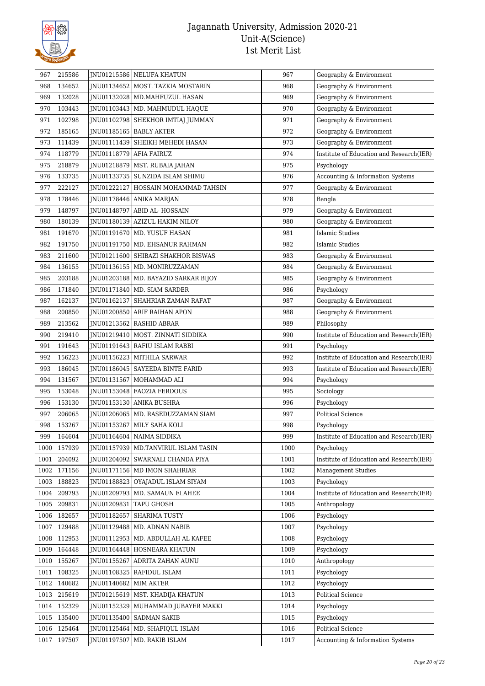

| 967  | 215586 |                         | JNU01215586 NELUFA KHATUN              | 967  | Geography & Environment                  |
|------|--------|-------------------------|----------------------------------------|------|------------------------------------------|
| 968  | 134652 |                         | JNU01134652   MOST. TAZKIA MOSTARIN    | 968  | Geography & Environment                  |
| 969  | 132028 |                         | JNU01132028   MD.MAHFUZUL HASAN        | 969  | Geography & Environment                  |
| 970  | 103443 |                         | JNU01103443   MD. MAHMUDUL HAQUE       | 970  | Geography & Environment                  |
| 971  | 102798 |                         | JNU01102798   SHEKHOR IMTIAJ JUMMAN    | 971  | Geography & Environment                  |
| 972  | 185165 |                         | JNU01185165   BABLY AKTER              | 972  | Geography & Environment                  |
| 973  | 111439 |                         | JNU01111439 SHEIKH MEHEDI HASAN        | 973  | Geography & Environment                  |
| 974  | 118779 | INU01118779 AFIA FAIRUZ |                                        | 974  | Institute of Education and Research(IER) |
| 975  | 218879 |                         | JNU01218879   MST. RUBAIA JAHAN        | 975  | Psychology                               |
| 976  | 133735 |                         | JNU01133735   SUNZIDA ISLAM SHIMU      | 976  | Accounting & Information Systems         |
| 977  | 222127 | JNU01222127             | HOSSAIN MOHAMMAD TAHSIN                | 977  | Geography & Environment                  |
| 978  | 178446 |                         | JNU01178446 ANIKA MARJAN               | 978  | Bangla                                   |
| 979  | 148797 |                         | JNU01148797 ABID AL- HOSSAIN           | 979  | Geography & Environment                  |
| 980  | 180139 |                         | JNU01180139 AZIZUL HAKIM NILOY         | 980  | Geography & Environment                  |
| 981  | 191670 |                         | JNU01191670   MD. YUSUF HASAN          | 981  | Islamic Studies                          |
| 982  | 191750 |                         | JNU01191750   MD. EHSANUR RAHMAN       | 982  | Islamic Studies                          |
| 983  | 211600 |                         | JNU01211600 SHIBAZI SHAKHOR BISWAS     | 983  | Geography & Environment                  |
| 984  | 136155 |                         | JNU01136155   MD. MONIRUZZAMAN         | 984  | Geography & Environment                  |
| 985  | 203188 |                         | JNU01203188   MD. BAYAZID SARKAR BIJOY | 985  | Geography & Environment                  |
| 986  | 171840 |                         | JNU01171840   MD. SIAM SARDER          | 986  | Psychology                               |
| 987  | 162137 |                         | INU01162137 SHAHRIAR ZAMAN RAFAT       | 987  | Geography & Environment                  |
| 988  | 200850 |                         | JNU01200850 ARIF RAIHAN APON           | 988  | Geography & Environment                  |
| 989  | 213562 |                         | JNU01213562   RASHID ABRAR             | 989  | Philosophy                               |
| 990  | 219410 |                         | JNU01219410   MOST. ZINNATI SIDDIKA    | 990  | Institute of Education and Research(IER) |
| 991  | 191643 |                         | JNU01191643   RAFIU ISLAM RABBI        | 991  | Psychology                               |
| 992  | 156223 |                         | JNU01156223   MITHILA SARWAR           | 992  | Institute of Education and Research(IER) |
| 993  | 186045 |                         | JNU01186045   SAYEEDA BINTE FARID      | 993  | Institute of Education and Research(IER) |
| 994  | 131567 |                         | JNU01131567   MOHAMMAD ALI             | 994  | Psychology                               |
| 995  | 153048 |                         | JNU01153048   FAOZIA FERDOUS           | 995  | Sociology                                |
| 996  | 153130 |                         | JNU01153130 ANIKA BUSHRA               | 996  | Psychology                               |
| 997  | 206065 |                         | INU01206065   MD. RASEDUZZAMAN SIAM    | 997  | Political Science                        |
| 998  | 153267 |                         | JNU01153267   MILY SAHA KOLI           | 998  | Psychology                               |
| 999  | 164604 |                         | JNU01164604 NAIMA SIDDIKA              | 999  | Institute of Education and Research(IER) |
| 1000 | 157939 |                         | JNU01157939   MD.TANVIRUL ISLAM TASIN  | 1000 | Psychology                               |
| 1001 | 204092 |                         | INU01204092 SWARNALI CHANDA PIYA       | 1001 | Institute of Education and Research(IER) |
| 1002 | 171156 |                         | JNU01171156   MD IMON SHAHRIAR         | 1002 | <b>Management Studies</b>                |
| 1003 | 188823 | JNU01188823             | OYAJADUL ISLAM SIYAM                   | 1003 | Psychology                               |
| 1004 | 209793 |                         | JNU01209793   MD. SAMAUN ELAHEE        | 1004 | Institute of Education and Research(IER) |
| 1005 | 209831 | JNU01209831             | TAPU GHOSH                             | 1005 | Anthropology                             |
| 1006 | 182657 | JNU01182657             | <b>SHARIMA TUSTY</b>                   | 1006 | Psychology                               |
| 1007 | 129488 |                         | JNU01129488   MD. ADNAN NABIB          | 1007 | Psychology                               |
| 1008 | 112953 |                         | JNU01112953   MD. ABDULLAH AL KAFEE    | 1008 | Psychology                               |
| 1009 | 164448 |                         | JNU01164448   HOSNEARA KHATUN          | 1009 | Psychology                               |
| 1010 | 155267 | JNU01155267             | ADRITA ZAHAN AUNU                      | 1010 | Anthropology                             |
| 1011 | 108325 | JNU01108325             | <b>RAFIDUL ISLAM</b>                   | 1011 | Psychology                               |
| 1012 | 140682 | JNU01140682   MIM AKTER |                                        | 1012 | Psychology                               |
| 1013 | 215619 |                         | JNU01215619   MST. KHADIJA KHATUN      | 1013 | Political Science                        |
| 1014 | 152329 | JNU01152329             | MUHAMMAD JUBAYER MAKKI                 | 1014 | Psychology                               |
| 1015 | 135400 |                         | JNU01135400   SADMAN SAKIB             | 1015 | Psychology                               |
| 1016 | 125464 | JNU01125464             | MD. SHAFIQUL ISLAM                     | 1016 | Political Science                        |
| 1017 | 197507 | JNU01197507             | MD. RAKIB ISLAM                        | 1017 | Accounting & Information Systems         |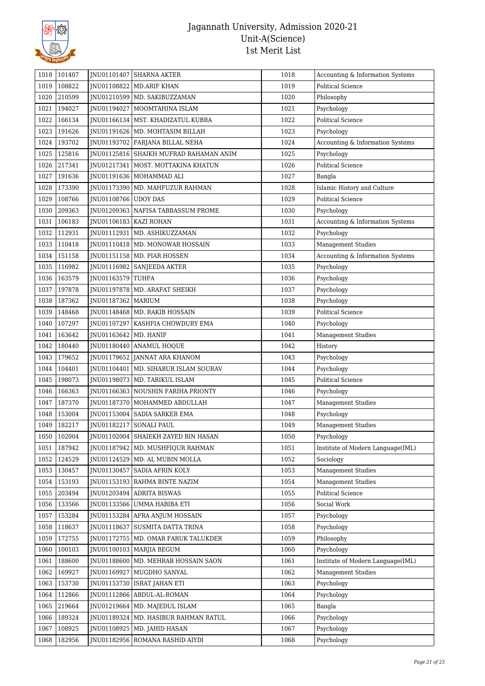

| 1018 | 101407 |                          | JNU01101407 SHARNA AKTER                 | 1018 | Accounting & Information Systems  |
|------|--------|--------------------------|------------------------------------------|------|-----------------------------------|
| 1019 | 108822 |                          | JNU01108822 MD.ARIF KHAN                 | 1019 | <b>Political Science</b>          |
| 1020 | 210599 |                          | JNU01210599   MD. SAKIBUZZAMAN           | 1020 | Philosophy                        |
| 1021 | 194027 | JNU01194027              | MOOMTAHINA ISLAM                         | 1021 | Psychology                        |
| 1022 | 166134 |                          | JNU01166134   MST. KHADIZATUL KUBRA      | 1022 | <b>Political Science</b>          |
| 1023 | 191626 |                          | JNU01191626   MD. MOHTASIM BILLAH        | 1023 | Psychology                        |
| 1024 | 193702 |                          | JNU01193702 FARJANA BILLAL NEHA          | 1024 | Accounting & Information Systems  |
| 1025 | 125816 |                          | JNU01125816   SHAIKH MUFRAD RAHAMAN ANIM | 1025 | Psychology                        |
| 1026 | 217341 |                          | JNU01217341   MOST. MOTTAKINA KHATUN     | 1026 | <b>Political Science</b>          |
| 1027 | 191636 |                          | JNU01191636   MOHAMMAD ALI               | 1027 | Bangla                            |
| 1028 | 173390 |                          | JNU01173390   MD. MAHFUZUR RAHMAN        | 1028 | Islamic History and Culture       |
| 1029 | 108766 | JNU01108766 UDOY DAS     |                                          | 1029 | <b>Political Science</b>          |
| 1030 | 209363 |                          | JNU01209363   NAFISA TABBASSUM PROME     | 1030 | Psychology                        |
| 1031 | 106183 | JNU01106183   KAZI ROHAN |                                          | 1031 | Accounting & Information Systems  |
| 1032 | 112931 |                          | JNU01112931   MD. ASHIKUZZAMAN           | 1032 | Psychology                        |
| 1033 | 110418 |                          | JNU01110418   MD. MONOWAR HOSSAIN        | 1033 | <b>Management Studies</b>         |
| 1034 | 151158 |                          | JNU01151158   MD. PIAR HOSSEN            | 1034 | Accounting & Information Systems  |
| 1035 | 116982 |                          | JNU01116982 SANJEEDA AKTER               | 1035 | Psychology                        |
| 1036 | 163579 | JNU01163579 TUHFA        |                                          | 1036 | Psychology                        |
| 1037 | 197878 |                          | JNU01197878   MD. ARAFAT SHEIKH          | 1037 | Psychology                        |
| 1038 | 187362 | JNU01187362   MARIUM     |                                          | 1038 | Psychology                        |
| 1039 | 148468 |                          | JNU01148468   MD. RAKIB HOSSAIN          | 1039 | <b>Political Science</b>          |
| 1040 | 107297 | JNU01107297              | KASHFIA CHOWDURY EMA                     | 1040 | Psychology                        |
| 1041 | 163642 | JNU01163642   MD. HANIF  |                                          | 1041 | Management Studies                |
| 1042 | 180440 |                          | JNU01180440 ANAMUL HOQUE                 | 1042 | History                           |
| 1043 | 179652 |                          | JNU01179652 JANNAT ARA KHANOM            | 1043 | Psychology                        |
| 1044 | 104401 |                          | JNU01104401   MD. SIHABUR ISLAM SOURAV   | 1044 | Psychology                        |
| 1045 | 198073 |                          | JNU01198073   MD. TARIKUL ISLAM          | 1045 | <b>Political Science</b>          |
| 1046 | 166363 |                          | JNU01166363   NOUSHIN FARIHA PRIONTY     | 1046 | Psychology                        |
| 1047 | 187370 |                          | JNU01187370   MOHAMMED ABDULLAH          | 1047 | Management Studies                |
| 1048 | 153004 |                          | JNU01153004   SADIA SARKER EMA           | 1048 | Psychology                        |
| 1049 | 182217 |                          | JNU01182217 SONALI PAUL                  | 1049 | <b>Management Studies</b>         |
| 1050 | 102004 |                          | JNU01102004   SHAIEKH ZAYED BIN HASAN    | 1050 | Psychology                        |
| 1051 | 187942 | JNU01187942              | MD. MUSHFIQUR RAHMAN                     | 1051 | Institute of Modern Language(IML) |
| 1052 | 124529 |                          | JNU01124529   MD. AL MUBIN MOLLA         | 1052 | Sociology                         |
| 1053 | 130457 | JNU01130457              | SADIA AFRIN KOLY                         | 1053 | <b>Management Studies</b>         |
| 1054 | 153193 |                          | JNU01153193 RAHMA BINTE NAZIM            | 1054 | <b>Management Studies</b>         |
| 1055 | 203494 | JNU01203494              | <b>ADRITA BISWAS</b>                     | 1055 | <b>Political Science</b>          |
| 1056 | 133566 | INU01133566              | UMMA HABIBA ETI                          | 1056 | Social Work                       |
| 1057 | 153284 | JNU01153284              | AFRA ANJUM HOSSAIN                       | 1057 | Psychology                        |
| 1058 | 118637 | JNU01118637              | SUSMITA DATTA TRINA                      | 1058 | Psychology                        |
| 1059 | 172755 |                          | JNU01172755   MD. OMAR FARUK TALUKDER    | 1059 | Philosophy                        |
| 1060 | 100103 |                          | JNU01100103   MARJIA BEGUM               | 1060 | Psychology                        |
| 1061 | 188600 |                          | JNU01188600   MD. MEHRAB HOSSAIN SAON    | 1061 | Institute of Modern Language(IML) |
| 1062 | 169927 | JNU01169927              | MUGDHO SANYAL                            | 1062 | <b>Management Studies</b>         |
| 1063 | 153730 | JNU01153730              | ISRAT JAHAN ETI                          | 1063 | Psychology                        |
| 1064 | 112866 | JNU01112866              | ABDUL-AL-ROMAN                           | 1064 | Psychology                        |
| 1065 | 219664 |                          | JNU01219664   MD. MAJEDUL ISLAM          | 1065 | Bangla                            |
| 1066 | 189324 | JNU01189324              | MD. HASIBUR RAHMAN RATUL                 | 1066 | Psychology                        |
| 1067 | 108925 | JNU01108925              | MD. JAHID HASAN                          | 1067 | Psychology                        |
| 1068 | 182956 |                          | JNU01182956 ROMANA RASHID AIYDI          | 1068 | Psychology                        |
|      |        |                          |                                          |      |                                   |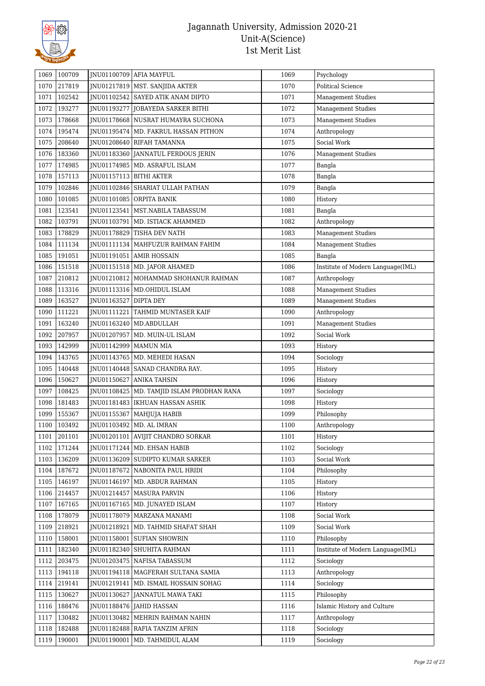

| 1069 | 100709      |                           | JNU01100709 AFIA MAYFUL                | 1069 | Psychology                        |
|------|-------------|---------------------------|----------------------------------------|------|-----------------------------------|
| 1070 | 217819      |                           | JNU01217819   MST. SANJIDA AKTER       | 1070 | <b>Political Science</b>          |
| 1071 | 102542      |                           | JNU01102542   SAYED ATIK ANAM DIPTO    | 1071 | Management Studies                |
| 1072 | 193277      | JNU01193277               | JOBAYEDA SARKER BITHI                  | 1072 | <b>Management Studies</b>         |
| 1073 | 178668      |                           | JNU01178668 NUSRAT HUMAYRA SUCHONA     | 1073 | <b>Management Studies</b>         |
| 1074 | 195474      |                           | JNU01195474   MD. FAKRUL HASSAN PITHON | 1074 | Anthropology                      |
| 1075 | 208640      |                           | JNU01208640 RIFAH TAMANNA              | 1075 | Social Work                       |
| 1076 | 183360      |                           | JNU01183360 JANNATUL FERDOUS JERIN     | 1076 | Management Studies                |
| 1077 | 174985      |                           | JNU01174985   MD. ASRAFUL ISLAM        | 1077 | Bangla                            |
| 1078 | 157113      | JNU01157113   BITHI AKTER |                                        | 1078 | Bangla                            |
| 1079 | 102846      |                           | JNU01102846 SHARIAT ULLAH PATHAN       | 1079 | Bangla                            |
| 1080 | 101085      |                           | JNU01101085 ORPITA BANIK               | 1080 | History                           |
| 1081 | 123541      |                           | JNU01123541   MST.NABILA TABASSUM      | 1081 | Bangla                            |
| 1082 | 103791      |                           | JNU01103791   MD. ISTIACK AHAMMED      | 1082 | Anthropology                      |
| 1083 | 178829      |                           | JNU01178829 TISHA DEV NATH             | 1083 | <b>Management Studies</b>         |
| 1084 | 111134      |                           | JNU01111134   MAHFUZUR RAHMAN FAHIM    | 1084 | <b>Management Studies</b>         |
| 1085 | 191051      |                           | JNU01191051   AMIR HOSSAIN             | 1085 | Bangla                            |
| 1086 | 151518      |                           | JNU01151518   MD. JAFOR AHAMED         | 1086 | Institute of Modern Language(IML) |
| 1087 | 210812      |                           | JNU01210812   MOHAMMAD SHOHANUR RAHMAN | 1087 | Anthropology                      |
| 1088 | 113316      |                           | JNU01113316   MD.OHIDUL ISLAM          | 1088 | Management Studies                |
| 1089 | 163527      | JNU01163527 DIPTA DEY     |                                        | 1089 | <b>Management Studies</b>         |
| 1090 | 111221      |                           | JNU01111221   TAHMID MUNTASER KAIF     | 1090 | Anthropology                      |
| 1091 | 163240      |                           | JNU01163240   MD.ABDULLAH              | 1091 | Management Studies                |
| 1092 | 207957      |                           | JNU01207957   MD. MUIN-UL ISLAM        | 1092 | Social Work                       |
| 1093 | 142999      | JNU01142999   MAMUN MIA   |                                        | 1093 | History                           |
| 1094 | 143765      |                           | JNU01143765   MD. MEHEDI HASAN         | 1094 | Sociology                         |
| 1095 | 140448      |                           | JNU01140448   SANAD CHANDRA RAY.       | 1095 | History                           |
| 1096 | 150627      |                           | JNU01150627   ANIKA TAHSIN             | 1096 | History                           |
| 1097 | 108425      |                           | MD. TAMJID ISLAM PRODHAN RANA          | 1097 |                                   |
|      |             | JNU01108425               |                                        |      | Sociology                         |
| 1098 | 181483      |                           | JNU01181483   IKHUAN HASSAN ASHIK      | 1098 | History                           |
| 1099 | 155367      |                           | JNU01155367   MAHJUJA HABIB            | 1099 | Philosophy                        |
| 1100 | 103492      |                           | JNU01103492   MD. AL IMRAN             | 1100 | Anthropology                      |
|      | 1101 201101 |                           | JNU01201101   AVIJIT CHANDRO SORKAR    | 1101 | History                           |
| 1102 | 171244      |                           | JNU01171244 MD. EHSAN HABIB            | 1102 | Sociology                         |
| 1103 | 136209      |                           | JNU01136209 SUDIPTO KUMAR SARKER       | 1103 | Social Work                       |
| 1104 | 187672      |                           | INU01187672 NABONITA PAUL HRIDI        | 1104 | Philosophy                        |
| 1105 | 146197      |                           | JNU01146197   MD. ABDUR RAHMAN         | 1105 | History                           |
| 1106 | 214457      |                           | JNU01214457   MASURA PARVIN            | 1106 | History                           |
| 1107 | 167165      | JNU01167165               | MD. JUNAYED ISLAM                      | 1107 | History                           |
| 1108 | 178079      |                           | JNU01178079   MARZANA MANAMI           | 1108 | Social Work                       |
| 1109 | 218921      |                           | JNU01218921   MD. TAHMID SHAFAT SHAH   | 1109 | Social Work                       |
| 1110 | 158001      |                           | JNU01158001 SUFIAN SHOWRIN             | 1110 | Philosophy                        |
| 1111 | 182340      |                           | JNU01182340   SHUHITA RAHMAN           | 1111 | Institute of Modern Language(IML) |
| 1112 | 203475      |                           | JNU01203475 NAFISA TABASSUM            | 1112 | Sociology                         |
| 1113 | 194118      |                           | JNU01194118   MAGFERAH SULTANA SAMIA   | 1113 | Anthropology                      |
| 1114 | 219141      |                           | JNU01219141   MD. ISMAIL HOSSAIN SOHAG | 1114 | Sociology                         |
| 1115 | 130627      |                           | JNU01130627 JANNATUL MAWA TAKI         | 1115 | Philosophy                        |
| 1116 | 188476      |                           | JNU01188476 JAHID HASSAN               | 1116 | Islamic History and Culture       |
| 1117 | 130482      | JNU01130482               | MEHRIN RAHMAN NAHIN                    | 1117 | Anthropology                      |
| 1118 | 182488      |                           | JNU01182488   RAFIA TANZIM AFRIN       | 1118 | Sociology                         |
| 1119 | 190001      | JNU01190001               | MD. TAHMIDUL ALAM                      | 1119 | Sociology                         |
|      |             |                           |                                        |      |                                   |